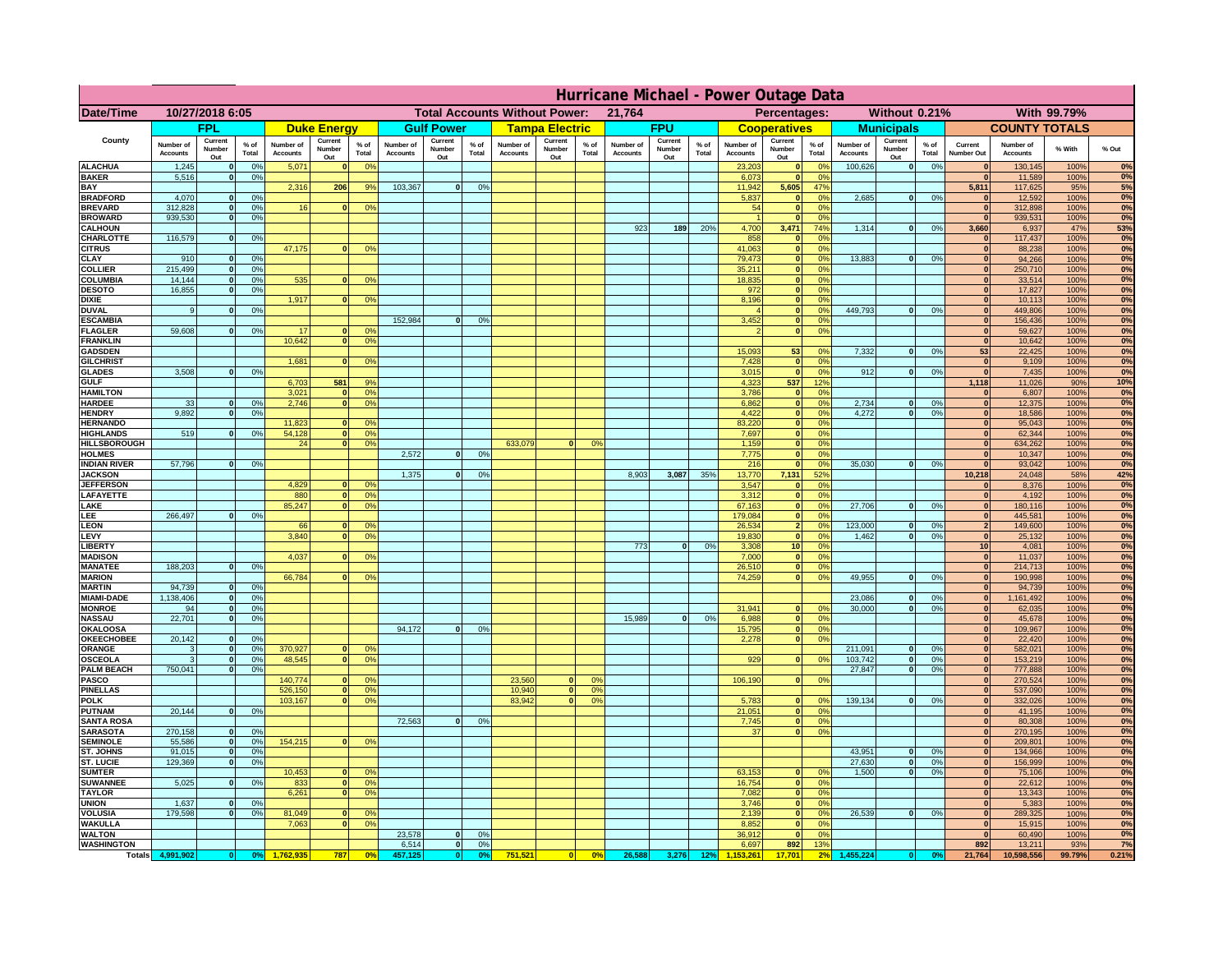|                                      | Hurricane Michael - Power Outage Data |                              |                                  |                              |                                 |                                                |                              |                          |                 |                              |                                              |                                  |                              |                          |               |                              |                          |                                               |                              |                              |                 |                              |                              |              |          |
|--------------------------------------|---------------------------------------|------------------------------|----------------------------------|------------------------------|---------------------------------|------------------------------------------------|------------------------------|--------------------------|-----------------|------------------------------|----------------------------------------------|----------------------------------|------------------------------|--------------------------|---------------|------------------------------|--------------------------|-----------------------------------------------|------------------------------|------------------------------|-----------------|------------------------------|------------------------------|--------------|----------|
| Date/Time                            | 10/27/2018 6:05                       |                              |                                  |                              |                                 | <b>Total Accounts Without Power:</b><br>21,764 |                              |                          |                 |                              | Without 0.21%<br>With 99.79%<br>Percentages: |                                  |                              |                          |               |                              |                          |                                               |                              |                              |                 |                              |                              |              |          |
|                                      |                                       | <b>FPL</b>                   |                                  |                              | <b>Duke Energy</b>              |                                                |                              | <b>Gulf Power</b>        |                 |                              | <b>Tampa Electric</b>                        |                                  |                              | <b>FPU</b>               |               |                              | <b>Cooperatives</b>      |                                               |                              | <b>Municipals</b>            |                 |                              | <b>COUNTY TOTALS</b>         |              |          |
| County                               | Number of<br><b>Accounts</b>          | Current<br>Number<br>Out     | $%$ of<br>Total                  | Number of<br><b>Accounts</b> | Current<br><b>Number</b><br>Out | $%$ of<br>Total                                | Number of<br><b>Accounts</b> | Current<br>Number<br>Out | $%$ of<br>Total | Number of<br><b>Accounts</b> | Current<br>Number<br>Out                     | $%$ of<br>Total                  | Number of<br><b>Accounts</b> | Current<br>Number<br>Out | % of<br>Total | Number of<br><b>Accounts</b> | Current<br>Number<br>Out | $%$ of<br>Total                               | Number of<br><b>Accounts</b> | Current<br>Number<br>Out     | $%$ of<br>Total | Current<br>Number Out        | Number of<br><b>Accounts</b> | % With       | % Out    |
| <b>ALACHUA</b><br><b>BAKER</b>       | 1,245                                 | $\mathbf{0}$<br>$\mathbf{0}$ | 0%<br>0%                         | 5,071                        |                                 | 0 <sup>9</sup>                                 |                              |                          |                 |                              |                                              |                                  |                              |                          |               | 23,203                       | $\bf{0}$<br>$\bf{0}$     | $^{\circ}$<br>0 <sup>9</sup>                  | 100,626                      | 0                            | 0%              | $\mathbf{0}$<br>$\mathbf{0}$ | 130,145                      | 100%         | 0%<br>0% |
| BAY                                  | 5,516                                 |                              |                                  | 2,316                        | 206                             | 9%                                             | 103,367                      | 0                        | 0%              |                              |                                              |                                  |                              |                          |               | 6,073<br>11,942              | 5,605                    | 47%                                           |                              |                              |                 | 5,811                        | 11,589<br>117,625            | 100%<br>95%  | 5%       |
| <b>BRADFORD</b><br><b>BREVARD</b>    | 4,070<br>312.828                      | $\Omega$<br>$\mathbf{0}$     | 0%<br>0 <sup>9</sup>             | 16                           |                                 | 0 <sup>o</sup>                                 |                              |                          |                 |                              |                                              |                                  |                              |                          |               | 5,837<br>54                  | $\mathbf{0}$<br> 0       | 0 <sup>9</sup><br>0 <sup>9</sup>              | 2,685                        | 0                            | 0%              | $\Omega$<br> 0               | 12,592<br>312,898            | 100%<br>100% | 0%<br>0% |
| <b>BROWARD</b>                       | 939.530                               | $\mathbf{0}$                 | 0%                               |                              |                                 |                                                |                              |                          |                 |                              |                                              |                                  |                              |                          |               |                              | 0                        | 0%                                            |                              |                              |                 | 0                            | 939,531                      | 100%         | 0%       |
| <b>CALHOUN</b>                       |                                       |                              |                                  |                              |                                 |                                                |                              |                          |                 |                              |                                              |                                  | 923                          | 189                      | 20%           | 4,700                        | 3,471                    | 74%                                           | 1,314                        | 0                            | 0%              | 3,660                        | 6,937                        | 47%          | 53%      |
| CHARLOTTE<br><b>CITRUS</b>           | 116,579                               | $\mathbf{0}$                 | 0%                               | 47,175                       |                                 | 0 <sup>o</sup>                                 |                              |                          |                 |                              |                                              |                                  |                              |                          |               | 858<br>41.063                | $\mathbf{0}$<br> 0       | 0%<br>0 <sup>9</sup>                          |                              |                              |                 | 0 <br>$\mathbf{0}$           | 117,437<br>88.238            | 100%<br>100% | 0%<br>0% |
| CLAY                                 | 910                                   |                              | 0 <sup>9</sup>                   |                              |                                 |                                                |                              |                          |                 |                              |                                              |                                  |                              |                          |               | 79,473                       | 0                        | 0%                                            | 13,883                       | 0                            | 0%              | $\mathbf{0}$                 | 94,266                       | 100%         | 0%       |
| <b>COLLIER</b>                       | 215,499                               |                              | 0%                               |                              |                                 |                                                |                              |                          |                 |                              |                                              |                                  |                              |                          |               | 35,211                       | 0                        | 0 <sup>9</sup>                                |                              |                              |                 | $\mathbf{0}$                 | 250,710                      | 100%         | 0%       |
| COLUMBIA<br><b>DESOTO</b>            | 14,144<br>16,855                      |                              | 0%<br>0%                         | 535                          |                                 | 0 <sup>o</sup>                                 |                              |                          |                 |                              |                                              |                                  |                              |                          |               | 18,835<br>972                | 0 <br> 0                 | 0 <sup>9</sup><br>0 <sup>9</sup>              |                              |                              |                 | $\mathbf{0}$                 | 33,514<br>17,827             | 100%<br>100% | 0%<br>0% |
| <b>DIXIE</b>                         |                                       |                              |                                  | 1,917                        |                                 | 0 <sup>o</sup>                                 |                              |                          |                 |                              |                                              |                                  |                              |                          |               | 8,196                        | 0                        | 0 <sup>9</sup>                                |                              |                              |                 | $\mathbf{0}$                 | 10,113                       | 100%         | 0%       |
| <b>DUVAL</b>                         | 9                                     |                              | 0 <sup>9</sup>                   |                              |                                 |                                                |                              |                          |                 |                              |                                              |                                  |                              |                          |               |                              | 0                        | 0 <sup>o</sup>                                | 449,793                      | 0                            | 0%              | $\mathbf{0}$                 | 449,806                      | 100%         | 0%       |
| <b>ESCAMBIA</b><br><b>FLAGLER</b>    | 59,608                                | $\mathbf{0}$                 | 0 <sup>9</sup>                   | 17                           |                                 | 0 <sup>9</sup>                                 | 152,984                      | $\Omega$                 | 0 <sup>9</sup>  |                              |                                              |                                  |                              |                          |               | 3,452                        | $\mathbf{0}$<br> 0       | 0 <sup>o</sup><br>0 <sup>9</sup>              |                              |                              |                 | $\mathbf{0}$<br>$\mathbf{0}$ | 156,436<br>59,627            | 100%<br>100% | 0%<br>0% |
| <b>FRANKLIN</b>                      |                                       |                              |                                  | 10,642                       |                                 | 0 <sup>9</sup>                                 |                              |                          |                 |                              |                                              |                                  |                              |                          |               |                              |                          |                                               |                              |                              |                 | $\mathbf{0}$                 | 10,642                       | 100%         | 0%       |
| <b>GADSDEN</b>                       |                                       |                              |                                  |                              |                                 |                                                |                              |                          |                 |                              |                                              |                                  |                              |                          |               | 15,093                       | 53                       | 0%                                            | 7,332                        | 0                            | 0%              | 53                           | 22,425                       | 100%         | 0%       |
| <b>GILCHRIST</b><br><b>GLADES</b>    | 3.508                                 |                              | 0%                               | 1.681                        |                                 | 0 <sup>9</sup>                                 |                              |                          |                 |                              |                                              |                                  |                              |                          |               | 7,428<br>3,015               | 0 <br> 0                 | 0 <sup>9</sup><br>0%                          | 912                          | 0                            | 0%              | $\Omega$<br> 0               | 9,109<br>7,435               | 100%<br>100% | 0%<br>0% |
| <b>GULF</b>                          |                                       |                              |                                  | 6,703                        | 581                             | 9%                                             |                              |                          |                 |                              |                                              |                                  |                              |                          |               | 4,323                        | 537                      | 12%                                           |                              |                              |                 | 1,118                        | 11,026                       | 90%          | 10%      |
| <b>HAMILTON</b>                      |                                       |                              |                                  | 3,021                        |                                 | 0 <sup>9</sup>                                 |                              |                          |                 |                              |                                              |                                  |                              |                          |               | 3,786                        |                          | 0%<br> 0                                      |                              |                              |                 | 0                            | 6,807                        | 100%         | 0%       |
| <b>HARDEE</b><br><b>HENDRY</b>       | 33<br>9.892                           | $\mathbf{0}$<br>$\Omega$     | 0%<br>0 <sup>9</sup>             | 2,746                        |                                 | 0 <sup>9</sup>                                 |                              |                          |                 |                              |                                              |                                  |                              |                          |               | 6,862<br>4,422               |                          | 0 <br>0%<br> 0 <br>0%                         | 2,734<br>4.272               | $\mathbf{0}$<br> 0           | 0%<br>0%        | 0 <br> 0                     | 12,375<br>18,586             | 100%<br>100% | 0%<br>0% |
| <b>HERNANDO</b>                      |                                       |                              |                                  | 11,823                       |                                 | 0 <sup>o</sup>                                 |                              |                          |                 |                              |                                              |                                  |                              |                          |               | 83,220                       |                          | 0 <br>0 <sup>9</sup>                          |                              |                              |                 | 0                            | 95,043                       | 100%         | 0%       |
| <b>HIGHLANDS</b>                     | 519                                   | $\Omega$                     | 0%                               | 54,128                       |                                 | 0 <sup>9</sup>                                 |                              |                          |                 |                              |                                              |                                  |                              |                          |               | 7,697                        |                          | 0 <br>0 <sup>9</sup>                          |                              |                              |                 | 0                            | 62,344                       | 100%         | 0%       |
| <b>HILLSBOROUGH</b><br><b>HOLMES</b> |                                       |                              |                                  | 24                           |                                 | 0 <sup>o</sup>                                 | 2,572                        | $\Omega$                 | 0 <sup>9</sup>  | 633,079                      | $\Omega$                                     | 0 <sup>9</sup>                   |                              |                          |               | 1,159<br>7,775               |                          | 0 <br>0 <sup>9</sup><br> 0 <br>0 <sup>9</sup> |                              |                              |                 | 0 <br>$\mathbf{0}$           | 634,262<br>10,347            | 100%<br>100% | 0%<br>0% |
| <b>INDIAN RIVER</b>                  | 57,796                                |                              | 0%                               |                              |                                 |                                                |                              |                          |                 |                              |                                              |                                  |                              |                          |               | 216                          | 0                        | 0 <sup>9</sup>                                | 35.030                       | 0                            | 0%              | $\mathbf{0}$                 | 93,042                       | 100%         | 0%       |
| <b>JACKSON</b>                       |                                       |                              |                                  |                              |                                 |                                                | 1,375                        | $\Omega$                 | 0 <sup>9</sup>  |                              |                                              |                                  | 8,903                        | 3,087                    | 35%           | 13,770                       | 7,131                    | 52%                                           |                              |                              |                 | 10,218                       | 24,048                       | 58%          | 42%      |
| <b>JEFFERSON</b><br>LAFAYETTE        |                                       |                              |                                  | 4.829<br>880                 | n.                              | 0 <sup>9</sup><br>0 <sup>9</sup>               |                              |                          |                 |                              |                                              |                                  |                              |                          |               | 3.547<br>3.312               | $\mathbf{0}$             | 0%<br>$\mathbf{0}$<br>0%                      |                              |                              |                 | $\mathbf{0}$<br> 0           | 8,376<br>4.192               | 100%<br>100% | 0%<br>0% |
| LAKE                                 |                                       |                              |                                  | 85,247                       |                                 | 0%                                             |                              |                          |                 |                              |                                              |                                  |                              |                          |               | 67,163                       |                          | 0 <br>0%                                      | 27,706                       | $\mathbf{0}$                 | 0%              | 0                            | 180,116                      | 100%         | 0%       |
| LEE                                  | 266,497                               |                              | 0%                               |                              |                                 |                                                |                              |                          |                 |                              |                                              |                                  |                              |                          |               | 179,084                      |                          | 0%<br> 0                                      |                              |                              |                 | 0                            | 445,581                      | 100%         | 0%       |
| <b>LEON</b><br>LEVY                  |                                       |                              |                                  | 66<br>3,840                  |                                 | 0 <sup>9</sup><br>0 <sup>9</sup>               |                              |                          |                 |                              |                                              |                                  |                              |                          |               | 26,534<br>19,830             |                          | 2 <sup>1</sup><br>0%<br>0%<br> 0              | 123,000<br>1,462             | $\mathbf{0}$<br>$\mathbf{0}$ | 0%<br>0%        | 2 <sup>1</sup><br> 0         | 149,600<br>25,132            | 100%<br>100% | 0%<br>0% |
| <b>LIBERT</b>                        |                                       |                              |                                  |                              |                                 |                                                |                              |                          |                 |                              |                                              |                                  | 773                          | $\Omega$                 | 0%            | 3,308                        | 10 <sup>1</sup>          | 0%                                            |                              |                              |                 | 10                           | 4,081                        | 100%         | 0%       |
| <b>MADISON</b>                       |                                       |                              |                                  | 4,037                        |                                 | 0 <sup>o</sup>                                 |                              |                          |                 |                              |                                              |                                  |                              |                          |               | 7,000                        |                          | 0%<br> 0                                      |                              |                              |                 | 0                            | 11,037                       | 100%         | 0%       |
| <b>MANATEE</b><br><b>MARION</b>      | 188,203                               | $\mathbf{0}$                 | 0 <sup>9</sup>                   | 66,784                       |                                 | 0 <sup>9</sup>                                 |                              |                          |                 |                              |                                              |                                  |                              |                          |               | 26,510<br>74,259             |                          | 0%<br> 0 <br>$\mathbf{0}$<br>0%               | 49,955                       | 0                            | 0%              | 0 <br> 0                     | 214,713<br>190,998           | 100%<br>100% | 0%<br>0% |
| <b>MARTIN</b>                        | 94,739                                | $\mathbf{0}$                 | 0 <sup>9</sup>                   |                              |                                 |                                                |                              |                          |                 |                              |                                              |                                  |                              |                          |               |                              |                          |                                               |                              |                              |                 | 0                            | 94,739                       | 100%         | 0%       |
| <b>MIAMI-DADE</b>                    | 1,138,406                             | 0                            | 0%                               |                              |                                 |                                                |                              |                          |                 |                              |                                              |                                  |                              |                          |               |                              |                          |                                               | 23,086                       | 0                            | 0%              | 0                            | 1,161,492                    | 100%         | 0%       |
| <b>MONROE</b><br><b>NASSAU</b>       | 94<br>22,701                          | -ol<br> 0                    | 0%<br>0%                         |                              |                                 |                                                |                              |                          |                 |                              |                                              |                                  | 15,989                       | 0                        | 0%            | 31,941<br>6,988              | $\mathbf{0}$             | 0 <sup>9</sup><br> 0 <br>0%                   | 30,000                       | 0                            | 0%              | $\mathbf{0}$<br> 0           | 62,035<br>45,678             | 100%<br>100% | 0%<br>0% |
| <b>OKALOOSA</b>                      |                                       |                              |                                  |                              |                                 |                                                | 94,172                       | 0                        | 0%              |                              |                                              |                                  |                              |                          |               | 15,795                       |                          | 0%<br> 0                                      |                              |                              |                 | 0                            | 109,967                      | 100%         | 0%       |
| <b>OKEECHOBEE</b>                    | 20,142                                | 0                            | 0%                               |                              |                                 |                                                |                              |                          |                 |                              |                                              |                                  |                              |                          |               | 2,278                        |                          | 0%<br> 0                                      |                              |                              |                 | 0                            | 22,420                       | 100%         | 0%       |
| ORANGE<br><b>OSCEOLA</b>             | 3<br>3                                | 0 <br> 0                     | 0%<br>0%                         | 370,927<br>48,545            | $\mathbf{0}$                    | 0 <sup>9</sup><br>0%                           |                              |                          |                 |                              |                                              |                                  |                              |                          |               | 929                          |                          | 0 <br>0%                                      | 211,091<br>103,742           | 0 <br> 0                     | 0%<br>0%        | 0 <br> 0                     | 582,021<br>153,219           | 100%<br>100% | 0%<br>0% |
| <b>PALM BEACH</b>                    | 750,041                               | 0                            | 0%                               |                              |                                 |                                                |                              |                          |                 |                              |                                              |                                  |                              |                          |               |                              |                          |                                               | 27,847                       | 0                            | 0%              | 0                            | 777,888                      | 100%         | 0%       |
| <b>PASCO</b>                         |                                       |                              |                                  | 140,774                      |                                 | 0 <sup>9</sup>                                 |                              |                          |                 | 23,560                       | $\mathbf{0}$                                 | O <sup>o</sup>                   |                              |                          |               | 106,190                      |                          | 0%<br> 0                                      |                              |                              |                 | 0                            | 270,524                      | 100%         | 0%       |
| <b>PINELLAS</b><br><b>POLK</b>       |                                       |                              |                                  | 526,150<br>103,167           | $\mathbf{0}$<br>$\Omega$        | 0%<br>0 <sup>9</sup>                           |                              |                          |                 | 10,940<br>83,942             | 0 <br> 0                                     | 0 <sup>9</sup><br>0 <sup>o</sup> |                              |                          |               | 5,783                        |                          | 0 <br>$^{\circ}$                              | 139,134                      | 0                            | 0%              | 0 <br> 0                     | 537,090<br>332,026           | 100%<br>100% | 0%<br>0% |
| <b>PUTNAM</b>                        | 20,144                                | 0                            | 0%                               |                              |                                 |                                                |                              |                          |                 |                              |                                              |                                  |                              |                          |               | 21,051                       |                          | 0 <sup>9</sup><br> 0                          |                              |                              |                 | 0                            | 41,195                       | 100%         | 0%       |
| <b>SANTA ROSA</b>                    |                                       |                              |                                  |                              |                                 |                                                | 72,563                       | 0                        | 0%              |                              |                                              |                                  |                              |                          |               | 7,745                        |                          | 0 <sup>9</sup><br> 0                          |                              |                              |                 | $\Omega$                     | 80,308                       | 100%         | 0%       |
| <b>SARASOTA</b><br><b>SEMINOLE</b>   | 270,158<br>55,586                     | 0 <br> 0                     | 0 <sup>9</sup><br>0 <sup>9</sup> | 154,215                      | $\mathbf{0}$                    | 0 <sup>9</sup>                                 |                              |                          |                 |                              |                                              |                                  |                              |                          |               | 37                           |                          | 0%<br> 0                                      |                              |                              |                 | $\mathbf{0}$<br> 0           | 270,195<br>209,801           | 100%<br>100% | 0%<br>0% |
| ST. JOHNS                            | 91,015                                | 0                            | 0%                               |                              |                                 |                                                |                              |                          |                 |                              |                                              |                                  |                              |                          |               |                              |                          |                                               | 43,951                       | 0                            | 0%              | $\mathbf{0}$                 | 134,966                      | 100%         | 0%       |
| ST. LUCIE                            | 129,369                               | $\mathbf{0}$                 | 0%                               |                              |                                 |                                                |                              |                          |                 |                              |                                              |                                  |                              |                          |               |                              |                          |                                               | 27,630                       | 0                            | 0%              | $\mathbf{0}$                 | 156,999                      | 100%         | 0%       |
| <b>SUMTER</b><br><b>SUWANNEE</b>     | 5,025                                 | $\Omega$                     | 0%                               | 10,453<br>833                | $\mathbf{0}$                    | 0 <sup>9</sup><br>0 <sup>9</sup>               |                              |                          |                 |                              |                                              |                                  |                              |                          |               | 63,153<br>16,754             |                          | 0 <sup>9</sup><br>$\mathbf{0}$<br> 0 <br>0%   | 1.500                        | 0                            | 0%              | 0 <br>$\mathbf{0}$           | 75,106<br>22,612             | 100%<br>100% | 0%<br>0% |
| <b>TAYLOR</b>                        |                                       |                              |                                  | 6,261                        |                                 | 0%                                             |                              |                          |                 |                              |                                              |                                  |                              |                          |               | 7,082                        | 0                        | 0%                                            |                              |                              |                 | 0                            | 13,343                       | 100%         | 0%       |
| <b>UNION</b>                         | 1.637                                 | $\mathbf{0}$                 | 0%                               |                              |                                 |                                                |                              |                          |                 |                              |                                              |                                  |                              |                          |               | 3.746                        |                          | 0%<br> 0                                      |                              |                              |                 | $\mathbf{0}$                 | 5,383                        | 100%         | $0\%$    |
| <b>VOLUSIA</b><br><b>WAKULLA</b>     | 179.598                               | $\mathbf{0}$                 | 0%                               | 81,049<br>7,063              |                                 | 0 <sup>9</sup><br>0 <sup>o</sup>               |                              |                          |                 |                              |                                              |                                  |                              |                          |               | 2.139<br>8,852               |                          | 0 <br>0%<br>0%<br> 0                          | 26.539                       | 0                            | 0%              | $\mathbf{0}$<br>$\mathbf{0}$ | 289,325<br>15,915            | 100%<br>100% | 0%<br>0% |
| <b>WALTON</b>                        |                                       |                              |                                  |                              |                                 |                                                | 23,578                       | 0                        | 0 <sup>9</sup>  |                              |                                              |                                  |                              |                          |               | 36,912                       | 0                        | 0%                                            |                              |                              |                 | 0                            | 60,490                       | 100%         | 0%       |
| <b>WASHINGTON</b>                    |                                       |                              |                                  |                              |                                 |                                                | 6,514                        | 0                        | 0%              |                              |                                              |                                  |                              |                          |               | 6,697                        | 892                      | 13%                                           |                              |                              |                 | 892                          | 13,211                       | 93%          | 7%       |
| <b>Totals</b>                        | 4,991,902                             | 0                            | 0 <sup>o</sup>                   |                              | 787                             | 0 <sup>5</sup>                                 | 457,125                      | 0                        | 0 <sup>9</sup>  | 751,521                      | 0                                            | 0%                               | 26,588                       | 3,276                    | 12%           |                              | 17,701                   |                                               | 455,224                      |                              | 0 <sup>o</sup>  | 21,764                       | 10,598,556                   | 99.79%       | 0.21%    |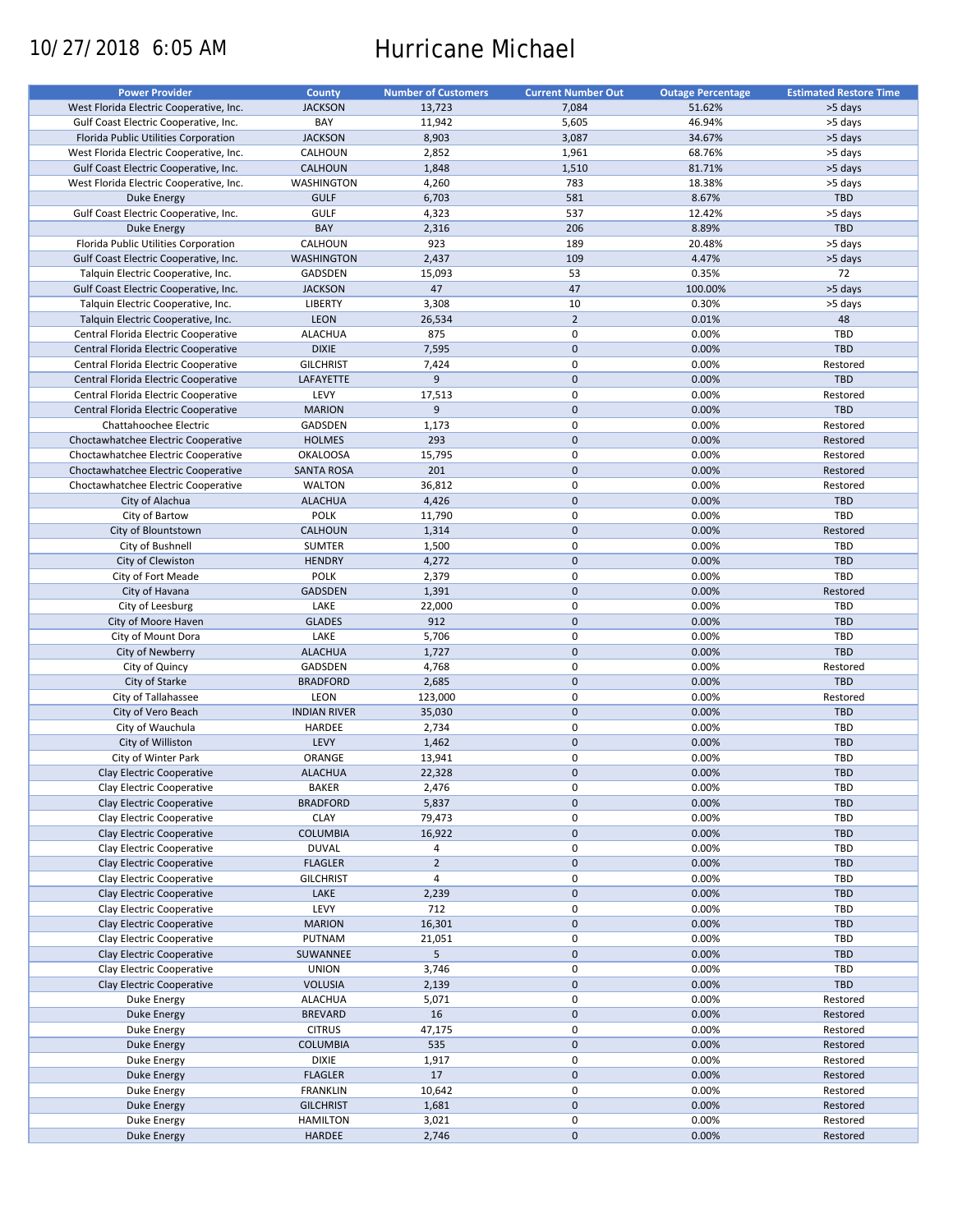# 10/27/2018 6:05 AM Hurricane Michael

| West Florida Electric Cooperative, Inc.<br><b>JACKSON</b><br>13,723<br>7,084<br>51.62%<br>>5 days<br>Gulf Coast Electric Cooperative, Inc.<br>BAY<br>11,942<br>5,605<br>46.94%<br>>5 days<br><b>JACKSON</b><br>8,903<br>3,087<br>34.67%<br>>5 days<br>Florida Public Utilities Corporation<br>2,852<br>1,961<br>68.76%<br>>5 days<br>West Florida Electric Cooperative, Inc.<br>CALHOUN<br>Gulf Coast Electric Cooperative, Inc.<br><b>CALHOUN</b><br>1,848<br>1,510<br>81.71%<br>>5 days<br>783<br>West Florida Electric Cooperative, Inc.<br>WASHINGTON<br>4,260<br>18.38%<br>>5 days<br><b>GULF</b><br>6,703<br>581<br>8.67%<br>TBD<br>Duke Energy<br>537<br>Gulf Coast Electric Cooperative, Inc.<br><b>GULF</b><br>4,323<br>12.42%<br>>5 days<br>BAY<br>206<br>8.89%<br>TBD<br>2,316<br>Duke Energy<br>Florida Public Utilities Corporation<br>CALHOUN<br>923<br>189<br>20.48%<br>>5 days<br>2,437<br>109<br>4.47%<br>Gulf Coast Electric Cooperative, Inc.<br><b>WASHINGTON</b><br>>5 days<br>72<br>GADSDEN<br>15,093<br>53<br>0.35%<br>Talquin Electric Cooperative, Inc.<br>47<br>47<br>100.00%<br>>5 days<br>Gulf Coast Electric Cooperative, Inc.<br><b>JACKSON</b><br>3,308<br>10<br>0.30%<br>LIBERTY<br>>5 days<br>Talquin Electric Cooperative, Inc.<br>$\overline{2}$<br><b>LEON</b><br>26,534<br>0.01%<br>48<br>Talquin Electric Cooperative, Inc.<br>$\mathbf 0$<br><b>ALACHUA</b><br>875<br>0.00%<br><b>TBD</b><br>Central Florida Electric Cooperative<br>$\mathbf 0$<br><b>DIXIE</b><br>0.00%<br><b>TBD</b><br>7,595<br>Central Florida Electric Cooperative<br>$\pmb{0}$<br>Central Florida Electric Cooperative<br><b>GILCHRIST</b><br>7,424<br>0.00%<br>Restored<br>$\mathbf 0$<br>9<br>TBD<br>0.00%<br>Central Florida Electric Cooperative<br>LAFAYETTE<br>$\pmb{0}$<br>LEVY<br>17,513<br>0.00%<br>Restored<br>Central Florida Electric Cooperative<br>9<br>$\mathbf 0$<br>0.00%<br>TBD<br><b>MARION</b><br>Central Florida Electric Cooperative<br>$\pmb{0}$<br>0.00%<br>GADSDEN<br>1,173<br>Restored<br>Chattahoochee Electric<br>293<br>$\mathbf 0$<br><b>HOLMES</b><br>0.00%<br>Restored<br>Choctawhatchee Electric Cooperative<br>0<br><b>OKALOOSA</b><br>15,795<br>0.00%<br>Restored<br>Choctawhatchee Electric Cooperative<br>201<br>$\mathbf 0$<br>0.00%<br>Restored<br>Choctawhatchee Electric Cooperative<br><b>SANTA ROSA</b><br>$\pmb{0}$<br>Choctawhatchee Electric Cooperative<br><b>WALTON</b><br>36,812<br>0.00%<br>Restored<br>$\mathbf 0$<br>4,426<br>0.00%<br>TBD<br>City of Alachua<br><b>ALACHUA</b><br><b>POLK</b><br>0<br>TBD<br>City of Bartow<br>11,790<br>0.00%<br>$\mathbf{0}$<br>0.00%<br>City of Blountstown<br><b>CALHOUN</b><br>1,314<br>Restored<br>0<br>0.00%<br>City of Bushnell<br><b>SUMTER</b><br>1,500<br><b>TBD</b><br>$\mathbf 0$<br><b>HENDRY</b><br>4,272<br>0.00%<br><b>TBD</b><br>City of Clewiston<br>0<br><b>TBD</b><br>City of Fort Meade<br><b>POLK</b><br>2,379<br>0.00%<br>$\mathbf 0$<br>0.00%<br>City of Havana<br><b>GADSDEN</b><br>1,391<br>Restored<br>LAKE<br>$\pmb{0}$<br>City of Leesburg<br>22,000<br>0.00%<br><b>TBD</b><br>$\mathbf 0$<br>0.00%<br><b>GLADES</b><br>912<br><b>TBD</b><br>City of Moore Haven<br>$\pmb{0}$<br>LAKE<br>5,706<br>0.00%<br>TBD<br>City of Mount Dora<br>$\mathbf 0$<br>0.00%<br><b>TBD</b><br><b>ALACHUA</b><br>1,727<br>City of Newberry<br>$\pmb{0}$<br>0.00%<br>City of Quincy<br>GADSDEN<br>4,768<br>Restored<br>$\mathbf 0$<br>City of Starke<br><b>BRADFORD</b><br>2,685<br>0.00%<br>TBD<br>0<br>City of Tallahassee<br>LEON<br>0.00%<br>123,000<br>Restored<br>$\mathbf 0$<br>0.00%<br>City of Vero Beach<br><b>INDIAN RIVER</b><br>35,030<br><b>TBD</b><br>$\mathbf 0$<br>City of Wauchula<br>HARDEE<br>2,734<br>0.00%<br><b>TBD</b><br>LEVY<br>$\mathbf 0$<br>0.00%<br>City of Williston<br>1,462<br><b>TBD</b><br>0<br>City of Winter Park<br>ORANGE<br>13,941<br>0.00%<br>TBD<br>$\mathbf 0$<br>0.00%<br>Clay Electric Cooperative<br><b>ALACHUA</b><br>22,328<br><b>TBD</b><br>Clay Electric Cooperative<br><b>BAKER</b><br>2,476<br>0<br>0.00%<br><b>TBD</b><br>$\pmb{0}$<br>Clay Electric Cooperative<br><b>BRADFORD</b><br>5,837<br>0.00%<br><b>TBD</b><br>0<br>Clay Electric Cooperative<br><b>CLAY</b><br>79,473<br>0.00%<br><b>TBD</b><br><b>COLUMBIA</b><br>$\pmb{0}$<br>0.00%<br>Clay Electric Cooperative<br>16,922<br><b>TBD</b><br>$\pmb{0}$<br>0.00%<br>Clay Electric Cooperative<br><b>DUVAL</b><br>4<br><b>TBD</b><br>$\mathbf 2$<br>$\pmb{0}$<br>0.00%<br>Clay Electric Cooperative<br><b>FLAGLER</b><br><b>TBD</b><br>0<br>Clay Electric Cooperative<br>4<br>0.00%<br>TBD<br><b>GILCHRIST</b><br>$\pmb{0}$<br>Clay Electric Cooperative<br>LAKE<br>2,239<br>0.00%<br><b>TBD</b><br>LEVY<br>0<br>0.00%<br>Clay Electric Cooperative<br>712<br><b>TBD</b><br>$\pmb{0}$<br>Clay Electric Cooperative<br><b>MARION</b><br>16,301<br>0.00%<br><b>TBD</b><br>0<br>0.00%<br>TBD<br>Clay Electric Cooperative<br>PUTNAM<br>21,051<br>5<br>$\pmb{0}$<br>Clay Electric Cooperative<br>SUWANNEE<br>0.00%<br><b>TBD</b><br>0<br>Clay Electric Cooperative<br>3,746<br>0.00%<br><b>TBD</b><br><b>UNION</b><br>$\pmb{0}$<br>0.00%<br>TBD<br>Clay Electric Cooperative<br><b>VOLUSIA</b><br>2,139<br>0<br>5,071<br>0.00%<br>Restored<br>Duke Energy<br>ALACHUA<br>$\pmb{0}$<br>16<br><b>BREVARD</b><br>0.00%<br>Restored<br>Duke Energy<br>0<br>0.00%<br>Restored<br><b>CITRUS</b><br>47,175<br>Duke Energy<br>$\pmb{0}$<br><b>COLUMBIA</b><br>535<br>0.00%<br>Restored<br><b>Duke Energy</b><br>0<br>0.00%<br><b>DIXIE</b><br>1,917<br>Restored<br>Duke Energy<br>0<br><b>FLAGLER</b><br>17<br>0.00%<br>Restored<br>Duke Energy<br>0<br><b>FRANKLIN</b><br>10,642<br>0.00%<br>Restored<br>Duke Energy<br>$\pmb{0}$<br>0.00%<br>Restored<br><b>GILCHRIST</b><br>1,681<br>Duke Energy<br>Duke Energy<br><b>HAMILTON</b><br>3,021<br>0<br>0.00%<br>Restored<br>$\pmb{0}$<br>HARDEE<br>2,746<br>0.00%<br>Duke Energy<br>Restored | <b>Power Provider</b> | <b>County</b> | <b>Number of Customers</b> | <b>Current Number Out</b> | <b>Outage Percentage</b> | <b>Estimated Restore Time</b> |
|-------------------------------------------------------------------------------------------------------------------------------------------------------------------------------------------------------------------------------------------------------------------------------------------------------------------------------------------------------------------------------------------------------------------------------------------------------------------------------------------------------------------------------------------------------------------------------------------------------------------------------------------------------------------------------------------------------------------------------------------------------------------------------------------------------------------------------------------------------------------------------------------------------------------------------------------------------------------------------------------------------------------------------------------------------------------------------------------------------------------------------------------------------------------------------------------------------------------------------------------------------------------------------------------------------------------------------------------------------------------------------------------------------------------------------------------------------------------------------------------------------------------------------------------------------------------------------------------------------------------------------------------------------------------------------------------------------------------------------------------------------------------------------------------------------------------------------------------------------------------------------------------------------------------------------------------------------------------------------------------------------------------------------------------------------------------------------------------------------------------------------------------------------------------------------------------------------------------------------------------------------------------------------------------------------------------------------------------------------------------------------------------------------------------------------------------------------------------------------------------------------------------------------------------------------------------------------------------------------------------------------------------------------------------------------------------------------------------------------------------------------------------------------------------------------------------------------------------------------------------------------------------------------------------------------------------------------------------------------------------------------------------------------------------------------------------------------------------------------------------------------------------------------------------------------------------------------------------------------------------------------------------------------------------------------------------------------------------------------------------------------------------------------------------------------------------------------------------------------------------------------------------------------------------------------------------------------------------------------------------------------------------------------------------------------------------------------------------------------------------------------------------------------------------------------------------------------------------------------------------------------------------------------------------------------------------------------------------------------------------------------------------------------------------------------------------------------------------------------------------------------------------------------------------------------------------------------------------------------------------------------------------------------------------------------------------------------------------------------------------------------------------------------------------------------------------------------------------------------------------------------------------------------------------------------------------------------------------------------------------------------------------------------------------------------------------------------------------------------------------------------------------------------------------------------------------------------------------------------------------------------------------------------------------------------------------------------------------------------------------------------------------------------------------------------------------------------------------------------------------------------------------------------------------------------------------------------------------------------------------------------------------------------------------------------------------------------------------------------------------------------------------------------------------------------------------------------------------------------------------------------------------------------------------------------------------------------------------------------------------------------------------------------------------------------------------------------------------------------------------------------------------------------------------------------------------------------------------------------------------------------------------------------------------------------------------------------------|-----------------------|---------------|----------------------------|---------------------------|--------------------------|-------------------------------|
|                                                                                                                                                                                                                                                                                                                                                                                                                                                                                                                                                                                                                                                                                                                                                                                                                                                                                                                                                                                                                                                                                                                                                                                                                                                                                                                                                                                                                                                                                                                                                                                                                                                                                                                                                                                                                                                                                                                                                                                                                                                                                                                                                                                                                                                                                                                                                                                                                                                                                                                                                                                                                                                                                                                                                                                                                                                                                                                                                                                                                                                                                                                                                                                                                                                                                                                                                                                                                                                                                                                                                                                                                                                                                                                                                                                                                                                                                                                                                                                                                                                                                                                                                                                                                                                                                                                                                                                                                                                                                                                                                                                                                                                                                                                                                                                                                                                                                                                                                                                                                                                                                                                                                                                                                                                                                                                                                                                                                                                                                                                                                                                                                                                                                                                                                                                                                                                                                                                                                             |                       |               |                            |                           |                          |                               |
|                                                                                                                                                                                                                                                                                                                                                                                                                                                                                                                                                                                                                                                                                                                                                                                                                                                                                                                                                                                                                                                                                                                                                                                                                                                                                                                                                                                                                                                                                                                                                                                                                                                                                                                                                                                                                                                                                                                                                                                                                                                                                                                                                                                                                                                                                                                                                                                                                                                                                                                                                                                                                                                                                                                                                                                                                                                                                                                                                                                                                                                                                                                                                                                                                                                                                                                                                                                                                                                                                                                                                                                                                                                                                                                                                                                                                                                                                                                                                                                                                                                                                                                                                                                                                                                                                                                                                                                                                                                                                                                                                                                                                                                                                                                                                                                                                                                                                                                                                                                                                                                                                                                                                                                                                                                                                                                                                                                                                                                                                                                                                                                                                                                                                                                                                                                                                                                                                                                                                             |                       |               |                            |                           |                          |                               |
|                                                                                                                                                                                                                                                                                                                                                                                                                                                                                                                                                                                                                                                                                                                                                                                                                                                                                                                                                                                                                                                                                                                                                                                                                                                                                                                                                                                                                                                                                                                                                                                                                                                                                                                                                                                                                                                                                                                                                                                                                                                                                                                                                                                                                                                                                                                                                                                                                                                                                                                                                                                                                                                                                                                                                                                                                                                                                                                                                                                                                                                                                                                                                                                                                                                                                                                                                                                                                                                                                                                                                                                                                                                                                                                                                                                                                                                                                                                                                                                                                                                                                                                                                                                                                                                                                                                                                                                                                                                                                                                                                                                                                                                                                                                                                                                                                                                                                                                                                                                                                                                                                                                                                                                                                                                                                                                                                                                                                                                                                                                                                                                                                                                                                                                                                                                                                                                                                                                                                             |                       |               |                            |                           |                          |                               |
|                                                                                                                                                                                                                                                                                                                                                                                                                                                                                                                                                                                                                                                                                                                                                                                                                                                                                                                                                                                                                                                                                                                                                                                                                                                                                                                                                                                                                                                                                                                                                                                                                                                                                                                                                                                                                                                                                                                                                                                                                                                                                                                                                                                                                                                                                                                                                                                                                                                                                                                                                                                                                                                                                                                                                                                                                                                                                                                                                                                                                                                                                                                                                                                                                                                                                                                                                                                                                                                                                                                                                                                                                                                                                                                                                                                                                                                                                                                                                                                                                                                                                                                                                                                                                                                                                                                                                                                                                                                                                                                                                                                                                                                                                                                                                                                                                                                                                                                                                                                                                                                                                                                                                                                                                                                                                                                                                                                                                                                                                                                                                                                                                                                                                                                                                                                                                                                                                                                                                             |                       |               |                            |                           |                          |                               |
|                                                                                                                                                                                                                                                                                                                                                                                                                                                                                                                                                                                                                                                                                                                                                                                                                                                                                                                                                                                                                                                                                                                                                                                                                                                                                                                                                                                                                                                                                                                                                                                                                                                                                                                                                                                                                                                                                                                                                                                                                                                                                                                                                                                                                                                                                                                                                                                                                                                                                                                                                                                                                                                                                                                                                                                                                                                                                                                                                                                                                                                                                                                                                                                                                                                                                                                                                                                                                                                                                                                                                                                                                                                                                                                                                                                                                                                                                                                                                                                                                                                                                                                                                                                                                                                                                                                                                                                                                                                                                                                                                                                                                                                                                                                                                                                                                                                                                                                                                                                                                                                                                                                                                                                                                                                                                                                                                                                                                                                                                                                                                                                                                                                                                                                                                                                                                                                                                                                                                             |                       |               |                            |                           |                          |                               |
|                                                                                                                                                                                                                                                                                                                                                                                                                                                                                                                                                                                                                                                                                                                                                                                                                                                                                                                                                                                                                                                                                                                                                                                                                                                                                                                                                                                                                                                                                                                                                                                                                                                                                                                                                                                                                                                                                                                                                                                                                                                                                                                                                                                                                                                                                                                                                                                                                                                                                                                                                                                                                                                                                                                                                                                                                                                                                                                                                                                                                                                                                                                                                                                                                                                                                                                                                                                                                                                                                                                                                                                                                                                                                                                                                                                                                                                                                                                                                                                                                                                                                                                                                                                                                                                                                                                                                                                                                                                                                                                                                                                                                                                                                                                                                                                                                                                                                                                                                                                                                                                                                                                                                                                                                                                                                                                                                                                                                                                                                                                                                                                                                                                                                                                                                                                                                                                                                                                                                             |                       |               |                            |                           |                          |                               |
|                                                                                                                                                                                                                                                                                                                                                                                                                                                                                                                                                                                                                                                                                                                                                                                                                                                                                                                                                                                                                                                                                                                                                                                                                                                                                                                                                                                                                                                                                                                                                                                                                                                                                                                                                                                                                                                                                                                                                                                                                                                                                                                                                                                                                                                                                                                                                                                                                                                                                                                                                                                                                                                                                                                                                                                                                                                                                                                                                                                                                                                                                                                                                                                                                                                                                                                                                                                                                                                                                                                                                                                                                                                                                                                                                                                                                                                                                                                                                                                                                                                                                                                                                                                                                                                                                                                                                                                                                                                                                                                                                                                                                                                                                                                                                                                                                                                                                                                                                                                                                                                                                                                                                                                                                                                                                                                                                                                                                                                                                                                                                                                                                                                                                                                                                                                                                                                                                                                                                             |                       |               |                            |                           |                          |                               |
|                                                                                                                                                                                                                                                                                                                                                                                                                                                                                                                                                                                                                                                                                                                                                                                                                                                                                                                                                                                                                                                                                                                                                                                                                                                                                                                                                                                                                                                                                                                                                                                                                                                                                                                                                                                                                                                                                                                                                                                                                                                                                                                                                                                                                                                                                                                                                                                                                                                                                                                                                                                                                                                                                                                                                                                                                                                                                                                                                                                                                                                                                                                                                                                                                                                                                                                                                                                                                                                                                                                                                                                                                                                                                                                                                                                                                                                                                                                                                                                                                                                                                                                                                                                                                                                                                                                                                                                                                                                                                                                                                                                                                                                                                                                                                                                                                                                                                                                                                                                                                                                                                                                                                                                                                                                                                                                                                                                                                                                                                                                                                                                                                                                                                                                                                                                                                                                                                                                                                             |                       |               |                            |                           |                          |                               |
|                                                                                                                                                                                                                                                                                                                                                                                                                                                                                                                                                                                                                                                                                                                                                                                                                                                                                                                                                                                                                                                                                                                                                                                                                                                                                                                                                                                                                                                                                                                                                                                                                                                                                                                                                                                                                                                                                                                                                                                                                                                                                                                                                                                                                                                                                                                                                                                                                                                                                                                                                                                                                                                                                                                                                                                                                                                                                                                                                                                                                                                                                                                                                                                                                                                                                                                                                                                                                                                                                                                                                                                                                                                                                                                                                                                                                                                                                                                                                                                                                                                                                                                                                                                                                                                                                                                                                                                                                                                                                                                                                                                                                                                                                                                                                                                                                                                                                                                                                                                                                                                                                                                                                                                                                                                                                                                                                                                                                                                                                                                                                                                                                                                                                                                                                                                                                                                                                                                                                             |                       |               |                            |                           |                          |                               |
|                                                                                                                                                                                                                                                                                                                                                                                                                                                                                                                                                                                                                                                                                                                                                                                                                                                                                                                                                                                                                                                                                                                                                                                                                                                                                                                                                                                                                                                                                                                                                                                                                                                                                                                                                                                                                                                                                                                                                                                                                                                                                                                                                                                                                                                                                                                                                                                                                                                                                                                                                                                                                                                                                                                                                                                                                                                                                                                                                                                                                                                                                                                                                                                                                                                                                                                                                                                                                                                                                                                                                                                                                                                                                                                                                                                                                                                                                                                                                                                                                                                                                                                                                                                                                                                                                                                                                                                                                                                                                                                                                                                                                                                                                                                                                                                                                                                                                                                                                                                                                                                                                                                                                                                                                                                                                                                                                                                                                                                                                                                                                                                                                                                                                                                                                                                                                                                                                                                                                             |                       |               |                            |                           |                          |                               |
|                                                                                                                                                                                                                                                                                                                                                                                                                                                                                                                                                                                                                                                                                                                                                                                                                                                                                                                                                                                                                                                                                                                                                                                                                                                                                                                                                                                                                                                                                                                                                                                                                                                                                                                                                                                                                                                                                                                                                                                                                                                                                                                                                                                                                                                                                                                                                                                                                                                                                                                                                                                                                                                                                                                                                                                                                                                                                                                                                                                                                                                                                                                                                                                                                                                                                                                                                                                                                                                                                                                                                                                                                                                                                                                                                                                                                                                                                                                                                                                                                                                                                                                                                                                                                                                                                                                                                                                                                                                                                                                                                                                                                                                                                                                                                                                                                                                                                                                                                                                                                                                                                                                                                                                                                                                                                                                                                                                                                                                                                                                                                                                                                                                                                                                                                                                                                                                                                                                                                             |                       |               |                            |                           |                          |                               |
|                                                                                                                                                                                                                                                                                                                                                                                                                                                                                                                                                                                                                                                                                                                                                                                                                                                                                                                                                                                                                                                                                                                                                                                                                                                                                                                                                                                                                                                                                                                                                                                                                                                                                                                                                                                                                                                                                                                                                                                                                                                                                                                                                                                                                                                                                                                                                                                                                                                                                                                                                                                                                                                                                                                                                                                                                                                                                                                                                                                                                                                                                                                                                                                                                                                                                                                                                                                                                                                                                                                                                                                                                                                                                                                                                                                                                                                                                                                                                                                                                                                                                                                                                                                                                                                                                                                                                                                                                                                                                                                                                                                                                                                                                                                                                                                                                                                                                                                                                                                                                                                                                                                                                                                                                                                                                                                                                                                                                                                                                                                                                                                                                                                                                                                                                                                                                                                                                                                                                             |                       |               |                            |                           |                          |                               |
|                                                                                                                                                                                                                                                                                                                                                                                                                                                                                                                                                                                                                                                                                                                                                                                                                                                                                                                                                                                                                                                                                                                                                                                                                                                                                                                                                                                                                                                                                                                                                                                                                                                                                                                                                                                                                                                                                                                                                                                                                                                                                                                                                                                                                                                                                                                                                                                                                                                                                                                                                                                                                                                                                                                                                                                                                                                                                                                                                                                                                                                                                                                                                                                                                                                                                                                                                                                                                                                                                                                                                                                                                                                                                                                                                                                                                                                                                                                                                                                                                                                                                                                                                                                                                                                                                                                                                                                                                                                                                                                                                                                                                                                                                                                                                                                                                                                                                                                                                                                                                                                                                                                                                                                                                                                                                                                                                                                                                                                                                                                                                                                                                                                                                                                                                                                                                                                                                                                                                             |                       |               |                            |                           |                          |                               |
|                                                                                                                                                                                                                                                                                                                                                                                                                                                                                                                                                                                                                                                                                                                                                                                                                                                                                                                                                                                                                                                                                                                                                                                                                                                                                                                                                                                                                                                                                                                                                                                                                                                                                                                                                                                                                                                                                                                                                                                                                                                                                                                                                                                                                                                                                                                                                                                                                                                                                                                                                                                                                                                                                                                                                                                                                                                                                                                                                                                                                                                                                                                                                                                                                                                                                                                                                                                                                                                                                                                                                                                                                                                                                                                                                                                                                                                                                                                                                                                                                                                                                                                                                                                                                                                                                                                                                                                                                                                                                                                                                                                                                                                                                                                                                                                                                                                                                                                                                                                                                                                                                                                                                                                                                                                                                                                                                                                                                                                                                                                                                                                                                                                                                                                                                                                                                                                                                                                                                             |                       |               |                            |                           |                          |                               |
|                                                                                                                                                                                                                                                                                                                                                                                                                                                                                                                                                                                                                                                                                                                                                                                                                                                                                                                                                                                                                                                                                                                                                                                                                                                                                                                                                                                                                                                                                                                                                                                                                                                                                                                                                                                                                                                                                                                                                                                                                                                                                                                                                                                                                                                                                                                                                                                                                                                                                                                                                                                                                                                                                                                                                                                                                                                                                                                                                                                                                                                                                                                                                                                                                                                                                                                                                                                                                                                                                                                                                                                                                                                                                                                                                                                                                                                                                                                                                                                                                                                                                                                                                                                                                                                                                                                                                                                                                                                                                                                                                                                                                                                                                                                                                                                                                                                                                                                                                                                                                                                                                                                                                                                                                                                                                                                                                                                                                                                                                                                                                                                                                                                                                                                                                                                                                                                                                                                                                             |                       |               |                            |                           |                          |                               |
|                                                                                                                                                                                                                                                                                                                                                                                                                                                                                                                                                                                                                                                                                                                                                                                                                                                                                                                                                                                                                                                                                                                                                                                                                                                                                                                                                                                                                                                                                                                                                                                                                                                                                                                                                                                                                                                                                                                                                                                                                                                                                                                                                                                                                                                                                                                                                                                                                                                                                                                                                                                                                                                                                                                                                                                                                                                                                                                                                                                                                                                                                                                                                                                                                                                                                                                                                                                                                                                                                                                                                                                                                                                                                                                                                                                                                                                                                                                                                                                                                                                                                                                                                                                                                                                                                                                                                                                                                                                                                                                                                                                                                                                                                                                                                                                                                                                                                                                                                                                                                                                                                                                                                                                                                                                                                                                                                                                                                                                                                                                                                                                                                                                                                                                                                                                                                                                                                                                                                             |                       |               |                            |                           |                          |                               |
|                                                                                                                                                                                                                                                                                                                                                                                                                                                                                                                                                                                                                                                                                                                                                                                                                                                                                                                                                                                                                                                                                                                                                                                                                                                                                                                                                                                                                                                                                                                                                                                                                                                                                                                                                                                                                                                                                                                                                                                                                                                                                                                                                                                                                                                                                                                                                                                                                                                                                                                                                                                                                                                                                                                                                                                                                                                                                                                                                                                                                                                                                                                                                                                                                                                                                                                                                                                                                                                                                                                                                                                                                                                                                                                                                                                                                                                                                                                                                                                                                                                                                                                                                                                                                                                                                                                                                                                                                                                                                                                                                                                                                                                                                                                                                                                                                                                                                                                                                                                                                                                                                                                                                                                                                                                                                                                                                                                                                                                                                                                                                                                                                                                                                                                                                                                                                                                                                                                                                             |                       |               |                            |                           |                          |                               |
|                                                                                                                                                                                                                                                                                                                                                                                                                                                                                                                                                                                                                                                                                                                                                                                                                                                                                                                                                                                                                                                                                                                                                                                                                                                                                                                                                                                                                                                                                                                                                                                                                                                                                                                                                                                                                                                                                                                                                                                                                                                                                                                                                                                                                                                                                                                                                                                                                                                                                                                                                                                                                                                                                                                                                                                                                                                                                                                                                                                                                                                                                                                                                                                                                                                                                                                                                                                                                                                                                                                                                                                                                                                                                                                                                                                                                                                                                                                                                                                                                                                                                                                                                                                                                                                                                                                                                                                                                                                                                                                                                                                                                                                                                                                                                                                                                                                                                                                                                                                                                                                                                                                                                                                                                                                                                                                                                                                                                                                                                                                                                                                                                                                                                                                                                                                                                                                                                                                                                             |                       |               |                            |                           |                          |                               |
|                                                                                                                                                                                                                                                                                                                                                                                                                                                                                                                                                                                                                                                                                                                                                                                                                                                                                                                                                                                                                                                                                                                                                                                                                                                                                                                                                                                                                                                                                                                                                                                                                                                                                                                                                                                                                                                                                                                                                                                                                                                                                                                                                                                                                                                                                                                                                                                                                                                                                                                                                                                                                                                                                                                                                                                                                                                                                                                                                                                                                                                                                                                                                                                                                                                                                                                                                                                                                                                                                                                                                                                                                                                                                                                                                                                                                                                                                                                                                                                                                                                                                                                                                                                                                                                                                                                                                                                                                                                                                                                                                                                                                                                                                                                                                                                                                                                                                                                                                                                                                                                                                                                                                                                                                                                                                                                                                                                                                                                                                                                                                                                                                                                                                                                                                                                                                                                                                                                                                             |                       |               |                            |                           |                          |                               |
|                                                                                                                                                                                                                                                                                                                                                                                                                                                                                                                                                                                                                                                                                                                                                                                                                                                                                                                                                                                                                                                                                                                                                                                                                                                                                                                                                                                                                                                                                                                                                                                                                                                                                                                                                                                                                                                                                                                                                                                                                                                                                                                                                                                                                                                                                                                                                                                                                                                                                                                                                                                                                                                                                                                                                                                                                                                                                                                                                                                                                                                                                                                                                                                                                                                                                                                                                                                                                                                                                                                                                                                                                                                                                                                                                                                                                                                                                                                                                                                                                                                                                                                                                                                                                                                                                                                                                                                                                                                                                                                                                                                                                                                                                                                                                                                                                                                                                                                                                                                                                                                                                                                                                                                                                                                                                                                                                                                                                                                                                                                                                                                                                                                                                                                                                                                                                                                                                                                                                             |                       |               |                            |                           |                          |                               |
|                                                                                                                                                                                                                                                                                                                                                                                                                                                                                                                                                                                                                                                                                                                                                                                                                                                                                                                                                                                                                                                                                                                                                                                                                                                                                                                                                                                                                                                                                                                                                                                                                                                                                                                                                                                                                                                                                                                                                                                                                                                                                                                                                                                                                                                                                                                                                                                                                                                                                                                                                                                                                                                                                                                                                                                                                                                                                                                                                                                                                                                                                                                                                                                                                                                                                                                                                                                                                                                                                                                                                                                                                                                                                                                                                                                                                                                                                                                                                                                                                                                                                                                                                                                                                                                                                                                                                                                                                                                                                                                                                                                                                                                                                                                                                                                                                                                                                                                                                                                                                                                                                                                                                                                                                                                                                                                                                                                                                                                                                                                                                                                                                                                                                                                                                                                                                                                                                                                                                             |                       |               |                            |                           |                          |                               |
|                                                                                                                                                                                                                                                                                                                                                                                                                                                                                                                                                                                                                                                                                                                                                                                                                                                                                                                                                                                                                                                                                                                                                                                                                                                                                                                                                                                                                                                                                                                                                                                                                                                                                                                                                                                                                                                                                                                                                                                                                                                                                                                                                                                                                                                                                                                                                                                                                                                                                                                                                                                                                                                                                                                                                                                                                                                                                                                                                                                                                                                                                                                                                                                                                                                                                                                                                                                                                                                                                                                                                                                                                                                                                                                                                                                                                                                                                                                                                                                                                                                                                                                                                                                                                                                                                                                                                                                                                                                                                                                                                                                                                                                                                                                                                                                                                                                                                                                                                                                                                                                                                                                                                                                                                                                                                                                                                                                                                                                                                                                                                                                                                                                                                                                                                                                                                                                                                                                                                             |                       |               |                            |                           |                          |                               |
|                                                                                                                                                                                                                                                                                                                                                                                                                                                                                                                                                                                                                                                                                                                                                                                                                                                                                                                                                                                                                                                                                                                                                                                                                                                                                                                                                                                                                                                                                                                                                                                                                                                                                                                                                                                                                                                                                                                                                                                                                                                                                                                                                                                                                                                                                                                                                                                                                                                                                                                                                                                                                                                                                                                                                                                                                                                                                                                                                                                                                                                                                                                                                                                                                                                                                                                                                                                                                                                                                                                                                                                                                                                                                                                                                                                                                                                                                                                                                                                                                                                                                                                                                                                                                                                                                                                                                                                                                                                                                                                                                                                                                                                                                                                                                                                                                                                                                                                                                                                                                                                                                                                                                                                                                                                                                                                                                                                                                                                                                                                                                                                                                                                                                                                                                                                                                                                                                                                                                             |                       |               |                            |                           |                          |                               |
|                                                                                                                                                                                                                                                                                                                                                                                                                                                                                                                                                                                                                                                                                                                                                                                                                                                                                                                                                                                                                                                                                                                                                                                                                                                                                                                                                                                                                                                                                                                                                                                                                                                                                                                                                                                                                                                                                                                                                                                                                                                                                                                                                                                                                                                                                                                                                                                                                                                                                                                                                                                                                                                                                                                                                                                                                                                                                                                                                                                                                                                                                                                                                                                                                                                                                                                                                                                                                                                                                                                                                                                                                                                                                                                                                                                                                                                                                                                                                                                                                                                                                                                                                                                                                                                                                                                                                                                                                                                                                                                                                                                                                                                                                                                                                                                                                                                                                                                                                                                                                                                                                                                                                                                                                                                                                                                                                                                                                                                                                                                                                                                                                                                                                                                                                                                                                                                                                                                                                             |                       |               |                            |                           |                          |                               |
|                                                                                                                                                                                                                                                                                                                                                                                                                                                                                                                                                                                                                                                                                                                                                                                                                                                                                                                                                                                                                                                                                                                                                                                                                                                                                                                                                                                                                                                                                                                                                                                                                                                                                                                                                                                                                                                                                                                                                                                                                                                                                                                                                                                                                                                                                                                                                                                                                                                                                                                                                                                                                                                                                                                                                                                                                                                                                                                                                                                                                                                                                                                                                                                                                                                                                                                                                                                                                                                                                                                                                                                                                                                                                                                                                                                                                                                                                                                                                                                                                                                                                                                                                                                                                                                                                                                                                                                                                                                                                                                                                                                                                                                                                                                                                                                                                                                                                                                                                                                                                                                                                                                                                                                                                                                                                                                                                                                                                                                                                                                                                                                                                                                                                                                                                                                                                                                                                                                                                             |                       |               |                            |                           |                          |                               |
|                                                                                                                                                                                                                                                                                                                                                                                                                                                                                                                                                                                                                                                                                                                                                                                                                                                                                                                                                                                                                                                                                                                                                                                                                                                                                                                                                                                                                                                                                                                                                                                                                                                                                                                                                                                                                                                                                                                                                                                                                                                                                                                                                                                                                                                                                                                                                                                                                                                                                                                                                                                                                                                                                                                                                                                                                                                                                                                                                                                                                                                                                                                                                                                                                                                                                                                                                                                                                                                                                                                                                                                                                                                                                                                                                                                                                                                                                                                                                                                                                                                                                                                                                                                                                                                                                                                                                                                                                                                                                                                                                                                                                                                                                                                                                                                                                                                                                                                                                                                                                                                                                                                                                                                                                                                                                                                                                                                                                                                                                                                                                                                                                                                                                                                                                                                                                                                                                                                                                             |                       |               |                            |                           |                          |                               |
|                                                                                                                                                                                                                                                                                                                                                                                                                                                                                                                                                                                                                                                                                                                                                                                                                                                                                                                                                                                                                                                                                                                                                                                                                                                                                                                                                                                                                                                                                                                                                                                                                                                                                                                                                                                                                                                                                                                                                                                                                                                                                                                                                                                                                                                                                                                                                                                                                                                                                                                                                                                                                                                                                                                                                                                                                                                                                                                                                                                                                                                                                                                                                                                                                                                                                                                                                                                                                                                                                                                                                                                                                                                                                                                                                                                                                                                                                                                                                                                                                                                                                                                                                                                                                                                                                                                                                                                                                                                                                                                                                                                                                                                                                                                                                                                                                                                                                                                                                                                                                                                                                                                                                                                                                                                                                                                                                                                                                                                                                                                                                                                                                                                                                                                                                                                                                                                                                                                                                             |                       |               |                            |                           |                          |                               |
|                                                                                                                                                                                                                                                                                                                                                                                                                                                                                                                                                                                                                                                                                                                                                                                                                                                                                                                                                                                                                                                                                                                                                                                                                                                                                                                                                                                                                                                                                                                                                                                                                                                                                                                                                                                                                                                                                                                                                                                                                                                                                                                                                                                                                                                                                                                                                                                                                                                                                                                                                                                                                                                                                                                                                                                                                                                                                                                                                                                                                                                                                                                                                                                                                                                                                                                                                                                                                                                                                                                                                                                                                                                                                                                                                                                                                                                                                                                                                                                                                                                                                                                                                                                                                                                                                                                                                                                                                                                                                                                                                                                                                                                                                                                                                                                                                                                                                                                                                                                                                                                                                                                                                                                                                                                                                                                                                                                                                                                                                                                                                                                                                                                                                                                                                                                                                                                                                                                                                             |                       |               |                            |                           |                          |                               |
|                                                                                                                                                                                                                                                                                                                                                                                                                                                                                                                                                                                                                                                                                                                                                                                                                                                                                                                                                                                                                                                                                                                                                                                                                                                                                                                                                                                                                                                                                                                                                                                                                                                                                                                                                                                                                                                                                                                                                                                                                                                                                                                                                                                                                                                                                                                                                                                                                                                                                                                                                                                                                                                                                                                                                                                                                                                                                                                                                                                                                                                                                                                                                                                                                                                                                                                                                                                                                                                                                                                                                                                                                                                                                                                                                                                                                                                                                                                                                                                                                                                                                                                                                                                                                                                                                                                                                                                                                                                                                                                                                                                                                                                                                                                                                                                                                                                                                                                                                                                                                                                                                                                                                                                                                                                                                                                                                                                                                                                                                                                                                                                                                                                                                                                                                                                                                                                                                                                                                             |                       |               |                            |                           |                          |                               |
|                                                                                                                                                                                                                                                                                                                                                                                                                                                                                                                                                                                                                                                                                                                                                                                                                                                                                                                                                                                                                                                                                                                                                                                                                                                                                                                                                                                                                                                                                                                                                                                                                                                                                                                                                                                                                                                                                                                                                                                                                                                                                                                                                                                                                                                                                                                                                                                                                                                                                                                                                                                                                                                                                                                                                                                                                                                                                                                                                                                                                                                                                                                                                                                                                                                                                                                                                                                                                                                                                                                                                                                                                                                                                                                                                                                                                                                                                                                                                                                                                                                                                                                                                                                                                                                                                                                                                                                                                                                                                                                                                                                                                                                                                                                                                                                                                                                                                                                                                                                                                                                                                                                                                                                                                                                                                                                                                                                                                                                                                                                                                                                                                                                                                                                                                                                                                                                                                                                                                             |                       |               |                            |                           |                          |                               |
|                                                                                                                                                                                                                                                                                                                                                                                                                                                                                                                                                                                                                                                                                                                                                                                                                                                                                                                                                                                                                                                                                                                                                                                                                                                                                                                                                                                                                                                                                                                                                                                                                                                                                                                                                                                                                                                                                                                                                                                                                                                                                                                                                                                                                                                                                                                                                                                                                                                                                                                                                                                                                                                                                                                                                                                                                                                                                                                                                                                                                                                                                                                                                                                                                                                                                                                                                                                                                                                                                                                                                                                                                                                                                                                                                                                                                                                                                                                                                                                                                                                                                                                                                                                                                                                                                                                                                                                                                                                                                                                                                                                                                                                                                                                                                                                                                                                                                                                                                                                                                                                                                                                                                                                                                                                                                                                                                                                                                                                                                                                                                                                                                                                                                                                                                                                                                                                                                                                                                             |                       |               |                            |                           |                          |                               |
|                                                                                                                                                                                                                                                                                                                                                                                                                                                                                                                                                                                                                                                                                                                                                                                                                                                                                                                                                                                                                                                                                                                                                                                                                                                                                                                                                                                                                                                                                                                                                                                                                                                                                                                                                                                                                                                                                                                                                                                                                                                                                                                                                                                                                                                                                                                                                                                                                                                                                                                                                                                                                                                                                                                                                                                                                                                                                                                                                                                                                                                                                                                                                                                                                                                                                                                                                                                                                                                                                                                                                                                                                                                                                                                                                                                                                                                                                                                                                                                                                                                                                                                                                                                                                                                                                                                                                                                                                                                                                                                                                                                                                                                                                                                                                                                                                                                                                                                                                                                                                                                                                                                                                                                                                                                                                                                                                                                                                                                                                                                                                                                                                                                                                                                                                                                                                                                                                                                                                             |                       |               |                            |                           |                          |                               |
|                                                                                                                                                                                                                                                                                                                                                                                                                                                                                                                                                                                                                                                                                                                                                                                                                                                                                                                                                                                                                                                                                                                                                                                                                                                                                                                                                                                                                                                                                                                                                                                                                                                                                                                                                                                                                                                                                                                                                                                                                                                                                                                                                                                                                                                                                                                                                                                                                                                                                                                                                                                                                                                                                                                                                                                                                                                                                                                                                                                                                                                                                                                                                                                                                                                                                                                                                                                                                                                                                                                                                                                                                                                                                                                                                                                                                                                                                                                                                                                                                                                                                                                                                                                                                                                                                                                                                                                                                                                                                                                                                                                                                                                                                                                                                                                                                                                                                                                                                                                                                                                                                                                                                                                                                                                                                                                                                                                                                                                                                                                                                                                                                                                                                                                                                                                                                                                                                                                                                             |                       |               |                            |                           |                          |                               |
|                                                                                                                                                                                                                                                                                                                                                                                                                                                                                                                                                                                                                                                                                                                                                                                                                                                                                                                                                                                                                                                                                                                                                                                                                                                                                                                                                                                                                                                                                                                                                                                                                                                                                                                                                                                                                                                                                                                                                                                                                                                                                                                                                                                                                                                                                                                                                                                                                                                                                                                                                                                                                                                                                                                                                                                                                                                                                                                                                                                                                                                                                                                                                                                                                                                                                                                                                                                                                                                                                                                                                                                                                                                                                                                                                                                                                                                                                                                                                                                                                                                                                                                                                                                                                                                                                                                                                                                                                                                                                                                                                                                                                                                                                                                                                                                                                                                                                                                                                                                                                                                                                                                                                                                                                                                                                                                                                                                                                                                                                                                                                                                                                                                                                                                                                                                                                                                                                                                                                             |                       |               |                            |                           |                          |                               |
|                                                                                                                                                                                                                                                                                                                                                                                                                                                                                                                                                                                                                                                                                                                                                                                                                                                                                                                                                                                                                                                                                                                                                                                                                                                                                                                                                                                                                                                                                                                                                                                                                                                                                                                                                                                                                                                                                                                                                                                                                                                                                                                                                                                                                                                                                                                                                                                                                                                                                                                                                                                                                                                                                                                                                                                                                                                                                                                                                                                                                                                                                                                                                                                                                                                                                                                                                                                                                                                                                                                                                                                                                                                                                                                                                                                                                                                                                                                                                                                                                                                                                                                                                                                                                                                                                                                                                                                                                                                                                                                                                                                                                                                                                                                                                                                                                                                                                                                                                                                                                                                                                                                                                                                                                                                                                                                                                                                                                                                                                                                                                                                                                                                                                                                                                                                                                                                                                                                                                             |                       |               |                            |                           |                          |                               |
|                                                                                                                                                                                                                                                                                                                                                                                                                                                                                                                                                                                                                                                                                                                                                                                                                                                                                                                                                                                                                                                                                                                                                                                                                                                                                                                                                                                                                                                                                                                                                                                                                                                                                                                                                                                                                                                                                                                                                                                                                                                                                                                                                                                                                                                                                                                                                                                                                                                                                                                                                                                                                                                                                                                                                                                                                                                                                                                                                                                                                                                                                                                                                                                                                                                                                                                                                                                                                                                                                                                                                                                                                                                                                                                                                                                                                                                                                                                                                                                                                                                                                                                                                                                                                                                                                                                                                                                                                                                                                                                                                                                                                                                                                                                                                                                                                                                                                                                                                                                                                                                                                                                                                                                                                                                                                                                                                                                                                                                                                                                                                                                                                                                                                                                                                                                                                                                                                                                                                             |                       |               |                            |                           |                          |                               |
|                                                                                                                                                                                                                                                                                                                                                                                                                                                                                                                                                                                                                                                                                                                                                                                                                                                                                                                                                                                                                                                                                                                                                                                                                                                                                                                                                                                                                                                                                                                                                                                                                                                                                                                                                                                                                                                                                                                                                                                                                                                                                                                                                                                                                                                                                                                                                                                                                                                                                                                                                                                                                                                                                                                                                                                                                                                                                                                                                                                                                                                                                                                                                                                                                                                                                                                                                                                                                                                                                                                                                                                                                                                                                                                                                                                                                                                                                                                                                                                                                                                                                                                                                                                                                                                                                                                                                                                                                                                                                                                                                                                                                                                                                                                                                                                                                                                                                                                                                                                                                                                                                                                                                                                                                                                                                                                                                                                                                                                                                                                                                                                                                                                                                                                                                                                                                                                                                                                                                             |                       |               |                            |                           |                          |                               |
|                                                                                                                                                                                                                                                                                                                                                                                                                                                                                                                                                                                                                                                                                                                                                                                                                                                                                                                                                                                                                                                                                                                                                                                                                                                                                                                                                                                                                                                                                                                                                                                                                                                                                                                                                                                                                                                                                                                                                                                                                                                                                                                                                                                                                                                                                                                                                                                                                                                                                                                                                                                                                                                                                                                                                                                                                                                                                                                                                                                                                                                                                                                                                                                                                                                                                                                                                                                                                                                                                                                                                                                                                                                                                                                                                                                                                                                                                                                                                                                                                                                                                                                                                                                                                                                                                                                                                                                                                                                                                                                                                                                                                                                                                                                                                                                                                                                                                                                                                                                                                                                                                                                                                                                                                                                                                                                                                                                                                                                                                                                                                                                                                                                                                                                                                                                                                                                                                                                                                             |                       |               |                            |                           |                          |                               |
|                                                                                                                                                                                                                                                                                                                                                                                                                                                                                                                                                                                                                                                                                                                                                                                                                                                                                                                                                                                                                                                                                                                                                                                                                                                                                                                                                                                                                                                                                                                                                                                                                                                                                                                                                                                                                                                                                                                                                                                                                                                                                                                                                                                                                                                                                                                                                                                                                                                                                                                                                                                                                                                                                                                                                                                                                                                                                                                                                                                                                                                                                                                                                                                                                                                                                                                                                                                                                                                                                                                                                                                                                                                                                                                                                                                                                                                                                                                                                                                                                                                                                                                                                                                                                                                                                                                                                                                                                                                                                                                                                                                                                                                                                                                                                                                                                                                                                                                                                                                                                                                                                                                                                                                                                                                                                                                                                                                                                                                                                                                                                                                                                                                                                                                                                                                                                                                                                                                                                             |                       |               |                            |                           |                          |                               |
|                                                                                                                                                                                                                                                                                                                                                                                                                                                                                                                                                                                                                                                                                                                                                                                                                                                                                                                                                                                                                                                                                                                                                                                                                                                                                                                                                                                                                                                                                                                                                                                                                                                                                                                                                                                                                                                                                                                                                                                                                                                                                                                                                                                                                                                                                                                                                                                                                                                                                                                                                                                                                                                                                                                                                                                                                                                                                                                                                                                                                                                                                                                                                                                                                                                                                                                                                                                                                                                                                                                                                                                                                                                                                                                                                                                                                                                                                                                                                                                                                                                                                                                                                                                                                                                                                                                                                                                                                                                                                                                                                                                                                                                                                                                                                                                                                                                                                                                                                                                                                                                                                                                                                                                                                                                                                                                                                                                                                                                                                                                                                                                                                                                                                                                                                                                                                                                                                                                                                             |                       |               |                            |                           |                          |                               |
|                                                                                                                                                                                                                                                                                                                                                                                                                                                                                                                                                                                                                                                                                                                                                                                                                                                                                                                                                                                                                                                                                                                                                                                                                                                                                                                                                                                                                                                                                                                                                                                                                                                                                                                                                                                                                                                                                                                                                                                                                                                                                                                                                                                                                                                                                                                                                                                                                                                                                                                                                                                                                                                                                                                                                                                                                                                                                                                                                                                                                                                                                                                                                                                                                                                                                                                                                                                                                                                                                                                                                                                                                                                                                                                                                                                                                                                                                                                                                                                                                                                                                                                                                                                                                                                                                                                                                                                                                                                                                                                                                                                                                                                                                                                                                                                                                                                                                                                                                                                                                                                                                                                                                                                                                                                                                                                                                                                                                                                                                                                                                                                                                                                                                                                                                                                                                                                                                                                                                             |                       |               |                            |                           |                          |                               |
|                                                                                                                                                                                                                                                                                                                                                                                                                                                                                                                                                                                                                                                                                                                                                                                                                                                                                                                                                                                                                                                                                                                                                                                                                                                                                                                                                                                                                                                                                                                                                                                                                                                                                                                                                                                                                                                                                                                                                                                                                                                                                                                                                                                                                                                                                                                                                                                                                                                                                                                                                                                                                                                                                                                                                                                                                                                                                                                                                                                                                                                                                                                                                                                                                                                                                                                                                                                                                                                                                                                                                                                                                                                                                                                                                                                                                                                                                                                                                                                                                                                                                                                                                                                                                                                                                                                                                                                                                                                                                                                                                                                                                                                                                                                                                                                                                                                                                                                                                                                                                                                                                                                                                                                                                                                                                                                                                                                                                                                                                                                                                                                                                                                                                                                                                                                                                                                                                                                                                             |                       |               |                            |                           |                          |                               |
|                                                                                                                                                                                                                                                                                                                                                                                                                                                                                                                                                                                                                                                                                                                                                                                                                                                                                                                                                                                                                                                                                                                                                                                                                                                                                                                                                                                                                                                                                                                                                                                                                                                                                                                                                                                                                                                                                                                                                                                                                                                                                                                                                                                                                                                                                                                                                                                                                                                                                                                                                                                                                                                                                                                                                                                                                                                                                                                                                                                                                                                                                                                                                                                                                                                                                                                                                                                                                                                                                                                                                                                                                                                                                                                                                                                                                                                                                                                                                                                                                                                                                                                                                                                                                                                                                                                                                                                                                                                                                                                                                                                                                                                                                                                                                                                                                                                                                                                                                                                                                                                                                                                                                                                                                                                                                                                                                                                                                                                                                                                                                                                                                                                                                                                                                                                                                                                                                                                                                             |                       |               |                            |                           |                          |                               |
|                                                                                                                                                                                                                                                                                                                                                                                                                                                                                                                                                                                                                                                                                                                                                                                                                                                                                                                                                                                                                                                                                                                                                                                                                                                                                                                                                                                                                                                                                                                                                                                                                                                                                                                                                                                                                                                                                                                                                                                                                                                                                                                                                                                                                                                                                                                                                                                                                                                                                                                                                                                                                                                                                                                                                                                                                                                                                                                                                                                                                                                                                                                                                                                                                                                                                                                                                                                                                                                                                                                                                                                                                                                                                                                                                                                                                                                                                                                                                                                                                                                                                                                                                                                                                                                                                                                                                                                                                                                                                                                                                                                                                                                                                                                                                                                                                                                                                                                                                                                                                                                                                                                                                                                                                                                                                                                                                                                                                                                                                                                                                                                                                                                                                                                                                                                                                                                                                                                                                             |                       |               |                            |                           |                          |                               |
|                                                                                                                                                                                                                                                                                                                                                                                                                                                                                                                                                                                                                                                                                                                                                                                                                                                                                                                                                                                                                                                                                                                                                                                                                                                                                                                                                                                                                                                                                                                                                                                                                                                                                                                                                                                                                                                                                                                                                                                                                                                                                                                                                                                                                                                                                                                                                                                                                                                                                                                                                                                                                                                                                                                                                                                                                                                                                                                                                                                                                                                                                                                                                                                                                                                                                                                                                                                                                                                                                                                                                                                                                                                                                                                                                                                                                                                                                                                                                                                                                                                                                                                                                                                                                                                                                                                                                                                                                                                                                                                                                                                                                                                                                                                                                                                                                                                                                                                                                                                                                                                                                                                                                                                                                                                                                                                                                                                                                                                                                                                                                                                                                                                                                                                                                                                                                                                                                                                                                             |                       |               |                            |                           |                          |                               |
|                                                                                                                                                                                                                                                                                                                                                                                                                                                                                                                                                                                                                                                                                                                                                                                                                                                                                                                                                                                                                                                                                                                                                                                                                                                                                                                                                                                                                                                                                                                                                                                                                                                                                                                                                                                                                                                                                                                                                                                                                                                                                                                                                                                                                                                                                                                                                                                                                                                                                                                                                                                                                                                                                                                                                                                                                                                                                                                                                                                                                                                                                                                                                                                                                                                                                                                                                                                                                                                                                                                                                                                                                                                                                                                                                                                                                                                                                                                                                                                                                                                                                                                                                                                                                                                                                                                                                                                                                                                                                                                                                                                                                                                                                                                                                                                                                                                                                                                                                                                                                                                                                                                                                                                                                                                                                                                                                                                                                                                                                                                                                                                                                                                                                                                                                                                                                                                                                                                                                             |                       |               |                            |                           |                          |                               |
|                                                                                                                                                                                                                                                                                                                                                                                                                                                                                                                                                                                                                                                                                                                                                                                                                                                                                                                                                                                                                                                                                                                                                                                                                                                                                                                                                                                                                                                                                                                                                                                                                                                                                                                                                                                                                                                                                                                                                                                                                                                                                                                                                                                                                                                                                                                                                                                                                                                                                                                                                                                                                                                                                                                                                                                                                                                                                                                                                                                                                                                                                                                                                                                                                                                                                                                                                                                                                                                                                                                                                                                                                                                                                                                                                                                                                                                                                                                                                                                                                                                                                                                                                                                                                                                                                                                                                                                                                                                                                                                                                                                                                                                                                                                                                                                                                                                                                                                                                                                                                                                                                                                                                                                                                                                                                                                                                                                                                                                                                                                                                                                                                                                                                                                                                                                                                                                                                                                                                             |                       |               |                            |                           |                          |                               |
|                                                                                                                                                                                                                                                                                                                                                                                                                                                                                                                                                                                                                                                                                                                                                                                                                                                                                                                                                                                                                                                                                                                                                                                                                                                                                                                                                                                                                                                                                                                                                                                                                                                                                                                                                                                                                                                                                                                                                                                                                                                                                                                                                                                                                                                                                                                                                                                                                                                                                                                                                                                                                                                                                                                                                                                                                                                                                                                                                                                                                                                                                                                                                                                                                                                                                                                                                                                                                                                                                                                                                                                                                                                                                                                                                                                                                                                                                                                                                                                                                                                                                                                                                                                                                                                                                                                                                                                                                                                                                                                                                                                                                                                                                                                                                                                                                                                                                                                                                                                                                                                                                                                                                                                                                                                                                                                                                                                                                                                                                                                                                                                                                                                                                                                                                                                                                                                                                                                                                             |                       |               |                            |                           |                          |                               |
|                                                                                                                                                                                                                                                                                                                                                                                                                                                                                                                                                                                                                                                                                                                                                                                                                                                                                                                                                                                                                                                                                                                                                                                                                                                                                                                                                                                                                                                                                                                                                                                                                                                                                                                                                                                                                                                                                                                                                                                                                                                                                                                                                                                                                                                                                                                                                                                                                                                                                                                                                                                                                                                                                                                                                                                                                                                                                                                                                                                                                                                                                                                                                                                                                                                                                                                                                                                                                                                                                                                                                                                                                                                                                                                                                                                                                                                                                                                                                                                                                                                                                                                                                                                                                                                                                                                                                                                                                                                                                                                                                                                                                                                                                                                                                                                                                                                                                                                                                                                                                                                                                                                                                                                                                                                                                                                                                                                                                                                                                                                                                                                                                                                                                                                                                                                                                                                                                                                                                             |                       |               |                            |                           |                          |                               |
|                                                                                                                                                                                                                                                                                                                                                                                                                                                                                                                                                                                                                                                                                                                                                                                                                                                                                                                                                                                                                                                                                                                                                                                                                                                                                                                                                                                                                                                                                                                                                                                                                                                                                                                                                                                                                                                                                                                                                                                                                                                                                                                                                                                                                                                                                                                                                                                                                                                                                                                                                                                                                                                                                                                                                                                                                                                                                                                                                                                                                                                                                                                                                                                                                                                                                                                                                                                                                                                                                                                                                                                                                                                                                                                                                                                                                                                                                                                                                                                                                                                                                                                                                                                                                                                                                                                                                                                                                                                                                                                                                                                                                                                                                                                                                                                                                                                                                                                                                                                                                                                                                                                                                                                                                                                                                                                                                                                                                                                                                                                                                                                                                                                                                                                                                                                                                                                                                                                                                             |                       |               |                            |                           |                          |                               |
|                                                                                                                                                                                                                                                                                                                                                                                                                                                                                                                                                                                                                                                                                                                                                                                                                                                                                                                                                                                                                                                                                                                                                                                                                                                                                                                                                                                                                                                                                                                                                                                                                                                                                                                                                                                                                                                                                                                                                                                                                                                                                                                                                                                                                                                                                                                                                                                                                                                                                                                                                                                                                                                                                                                                                                                                                                                                                                                                                                                                                                                                                                                                                                                                                                                                                                                                                                                                                                                                                                                                                                                                                                                                                                                                                                                                                                                                                                                                                                                                                                                                                                                                                                                                                                                                                                                                                                                                                                                                                                                                                                                                                                                                                                                                                                                                                                                                                                                                                                                                                                                                                                                                                                                                                                                                                                                                                                                                                                                                                                                                                                                                                                                                                                                                                                                                                                                                                                                                                             |                       |               |                            |                           |                          |                               |
|                                                                                                                                                                                                                                                                                                                                                                                                                                                                                                                                                                                                                                                                                                                                                                                                                                                                                                                                                                                                                                                                                                                                                                                                                                                                                                                                                                                                                                                                                                                                                                                                                                                                                                                                                                                                                                                                                                                                                                                                                                                                                                                                                                                                                                                                                                                                                                                                                                                                                                                                                                                                                                                                                                                                                                                                                                                                                                                                                                                                                                                                                                                                                                                                                                                                                                                                                                                                                                                                                                                                                                                                                                                                                                                                                                                                                                                                                                                                                                                                                                                                                                                                                                                                                                                                                                                                                                                                                                                                                                                                                                                                                                                                                                                                                                                                                                                                                                                                                                                                                                                                                                                                                                                                                                                                                                                                                                                                                                                                                                                                                                                                                                                                                                                                                                                                                                                                                                                                                             |                       |               |                            |                           |                          |                               |
|                                                                                                                                                                                                                                                                                                                                                                                                                                                                                                                                                                                                                                                                                                                                                                                                                                                                                                                                                                                                                                                                                                                                                                                                                                                                                                                                                                                                                                                                                                                                                                                                                                                                                                                                                                                                                                                                                                                                                                                                                                                                                                                                                                                                                                                                                                                                                                                                                                                                                                                                                                                                                                                                                                                                                                                                                                                                                                                                                                                                                                                                                                                                                                                                                                                                                                                                                                                                                                                                                                                                                                                                                                                                                                                                                                                                                                                                                                                                                                                                                                                                                                                                                                                                                                                                                                                                                                                                                                                                                                                                                                                                                                                                                                                                                                                                                                                                                                                                                                                                                                                                                                                                                                                                                                                                                                                                                                                                                                                                                                                                                                                                                                                                                                                                                                                                                                                                                                                                                             |                       |               |                            |                           |                          |                               |
|                                                                                                                                                                                                                                                                                                                                                                                                                                                                                                                                                                                                                                                                                                                                                                                                                                                                                                                                                                                                                                                                                                                                                                                                                                                                                                                                                                                                                                                                                                                                                                                                                                                                                                                                                                                                                                                                                                                                                                                                                                                                                                                                                                                                                                                                                                                                                                                                                                                                                                                                                                                                                                                                                                                                                                                                                                                                                                                                                                                                                                                                                                                                                                                                                                                                                                                                                                                                                                                                                                                                                                                                                                                                                                                                                                                                                                                                                                                                                                                                                                                                                                                                                                                                                                                                                                                                                                                                                                                                                                                                                                                                                                                                                                                                                                                                                                                                                                                                                                                                                                                                                                                                                                                                                                                                                                                                                                                                                                                                                                                                                                                                                                                                                                                                                                                                                                                                                                                                                             |                       |               |                            |                           |                          |                               |
|                                                                                                                                                                                                                                                                                                                                                                                                                                                                                                                                                                                                                                                                                                                                                                                                                                                                                                                                                                                                                                                                                                                                                                                                                                                                                                                                                                                                                                                                                                                                                                                                                                                                                                                                                                                                                                                                                                                                                                                                                                                                                                                                                                                                                                                                                                                                                                                                                                                                                                                                                                                                                                                                                                                                                                                                                                                                                                                                                                                                                                                                                                                                                                                                                                                                                                                                                                                                                                                                                                                                                                                                                                                                                                                                                                                                                                                                                                                                                                                                                                                                                                                                                                                                                                                                                                                                                                                                                                                                                                                                                                                                                                                                                                                                                                                                                                                                                                                                                                                                                                                                                                                                                                                                                                                                                                                                                                                                                                                                                                                                                                                                                                                                                                                                                                                                                                                                                                                                                             |                       |               |                            |                           |                          |                               |
|                                                                                                                                                                                                                                                                                                                                                                                                                                                                                                                                                                                                                                                                                                                                                                                                                                                                                                                                                                                                                                                                                                                                                                                                                                                                                                                                                                                                                                                                                                                                                                                                                                                                                                                                                                                                                                                                                                                                                                                                                                                                                                                                                                                                                                                                                                                                                                                                                                                                                                                                                                                                                                                                                                                                                                                                                                                                                                                                                                                                                                                                                                                                                                                                                                                                                                                                                                                                                                                                                                                                                                                                                                                                                                                                                                                                                                                                                                                                                                                                                                                                                                                                                                                                                                                                                                                                                                                                                                                                                                                                                                                                                                                                                                                                                                                                                                                                                                                                                                                                                                                                                                                                                                                                                                                                                                                                                                                                                                                                                                                                                                                                                                                                                                                                                                                                                                                                                                                                                             |                       |               |                            |                           |                          |                               |
|                                                                                                                                                                                                                                                                                                                                                                                                                                                                                                                                                                                                                                                                                                                                                                                                                                                                                                                                                                                                                                                                                                                                                                                                                                                                                                                                                                                                                                                                                                                                                                                                                                                                                                                                                                                                                                                                                                                                                                                                                                                                                                                                                                                                                                                                                                                                                                                                                                                                                                                                                                                                                                                                                                                                                                                                                                                                                                                                                                                                                                                                                                                                                                                                                                                                                                                                                                                                                                                                                                                                                                                                                                                                                                                                                                                                                                                                                                                                                                                                                                                                                                                                                                                                                                                                                                                                                                                                                                                                                                                                                                                                                                                                                                                                                                                                                                                                                                                                                                                                                                                                                                                                                                                                                                                                                                                                                                                                                                                                                                                                                                                                                                                                                                                                                                                                                                                                                                                                                             |                       |               |                            |                           |                          |                               |
|                                                                                                                                                                                                                                                                                                                                                                                                                                                                                                                                                                                                                                                                                                                                                                                                                                                                                                                                                                                                                                                                                                                                                                                                                                                                                                                                                                                                                                                                                                                                                                                                                                                                                                                                                                                                                                                                                                                                                                                                                                                                                                                                                                                                                                                                                                                                                                                                                                                                                                                                                                                                                                                                                                                                                                                                                                                                                                                                                                                                                                                                                                                                                                                                                                                                                                                                                                                                                                                                                                                                                                                                                                                                                                                                                                                                                                                                                                                                                                                                                                                                                                                                                                                                                                                                                                                                                                                                                                                                                                                                                                                                                                                                                                                                                                                                                                                                                                                                                                                                                                                                                                                                                                                                                                                                                                                                                                                                                                                                                                                                                                                                                                                                                                                                                                                                                                                                                                                                                             |                       |               |                            |                           |                          |                               |
|                                                                                                                                                                                                                                                                                                                                                                                                                                                                                                                                                                                                                                                                                                                                                                                                                                                                                                                                                                                                                                                                                                                                                                                                                                                                                                                                                                                                                                                                                                                                                                                                                                                                                                                                                                                                                                                                                                                                                                                                                                                                                                                                                                                                                                                                                                                                                                                                                                                                                                                                                                                                                                                                                                                                                                                                                                                                                                                                                                                                                                                                                                                                                                                                                                                                                                                                                                                                                                                                                                                                                                                                                                                                                                                                                                                                                                                                                                                                                                                                                                                                                                                                                                                                                                                                                                                                                                                                                                                                                                                                                                                                                                                                                                                                                                                                                                                                                                                                                                                                                                                                                                                                                                                                                                                                                                                                                                                                                                                                                                                                                                                                                                                                                                                                                                                                                                                                                                                                                             |                       |               |                            |                           |                          |                               |
|                                                                                                                                                                                                                                                                                                                                                                                                                                                                                                                                                                                                                                                                                                                                                                                                                                                                                                                                                                                                                                                                                                                                                                                                                                                                                                                                                                                                                                                                                                                                                                                                                                                                                                                                                                                                                                                                                                                                                                                                                                                                                                                                                                                                                                                                                                                                                                                                                                                                                                                                                                                                                                                                                                                                                                                                                                                                                                                                                                                                                                                                                                                                                                                                                                                                                                                                                                                                                                                                                                                                                                                                                                                                                                                                                                                                                                                                                                                                                                                                                                                                                                                                                                                                                                                                                                                                                                                                                                                                                                                                                                                                                                                                                                                                                                                                                                                                                                                                                                                                                                                                                                                                                                                                                                                                                                                                                                                                                                                                                                                                                                                                                                                                                                                                                                                                                                                                                                                                                             |                       |               |                            |                           |                          |                               |
|                                                                                                                                                                                                                                                                                                                                                                                                                                                                                                                                                                                                                                                                                                                                                                                                                                                                                                                                                                                                                                                                                                                                                                                                                                                                                                                                                                                                                                                                                                                                                                                                                                                                                                                                                                                                                                                                                                                                                                                                                                                                                                                                                                                                                                                                                                                                                                                                                                                                                                                                                                                                                                                                                                                                                                                                                                                                                                                                                                                                                                                                                                                                                                                                                                                                                                                                                                                                                                                                                                                                                                                                                                                                                                                                                                                                                                                                                                                                                                                                                                                                                                                                                                                                                                                                                                                                                                                                                                                                                                                                                                                                                                                                                                                                                                                                                                                                                                                                                                                                                                                                                                                                                                                                                                                                                                                                                                                                                                                                                                                                                                                                                                                                                                                                                                                                                                                                                                                                                             |                       |               |                            |                           |                          |                               |
|                                                                                                                                                                                                                                                                                                                                                                                                                                                                                                                                                                                                                                                                                                                                                                                                                                                                                                                                                                                                                                                                                                                                                                                                                                                                                                                                                                                                                                                                                                                                                                                                                                                                                                                                                                                                                                                                                                                                                                                                                                                                                                                                                                                                                                                                                                                                                                                                                                                                                                                                                                                                                                                                                                                                                                                                                                                                                                                                                                                                                                                                                                                                                                                                                                                                                                                                                                                                                                                                                                                                                                                                                                                                                                                                                                                                                                                                                                                                                                                                                                                                                                                                                                                                                                                                                                                                                                                                                                                                                                                                                                                                                                                                                                                                                                                                                                                                                                                                                                                                                                                                                                                                                                                                                                                                                                                                                                                                                                                                                                                                                                                                                                                                                                                                                                                                                                                                                                                                                             |                       |               |                            |                           |                          |                               |
|                                                                                                                                                                                                                                                                                                                                                                                                                                                                                                                                                                                                                                                                                                                                                                                                                                                                                                                                                                                                                                                                                                                                                                                                                                                                                                                                                                                                                                                                                                                                                                                                                                                                                                                                                                                                                                                                                                                                                                                                                                                                                                                                                                                                                                                                                                                                                                                                                                                                                                                                                                                                                                                                                                                                                                                                                                                                                                                                                                                                                                                                                                                                                                                                                                                                                                                                                                                                                                                                                                                                                                                                                                                                                                                                                                                                                                                                                                                                                                                                                                                                                                                                                                                                                                                                                                                                                                                                                                                                                                                                                                                                                                                                                                                                                                                                                                                                                                                                                                                                                                                                                                                                                                                                                                                                                                                                                                                                                                                                                                                                                                                                                                                                                                                                                                                                                                                                                                                                                             |                       |               |                            |                           |                          |                               |
|                                                                                                                                                                                                                                                                                                                                                                                                                                                                                                                                                                                                                                                                                                                                                                                                                                                                                                                                                                                                                                                                                                                                                                                                                                                                                                                                                                                                                                                                                                                                                                                                                                                                                                                                                                                                                                                                                                                                                                                                                                                                                                                                                                                                                                                                                                                                                                                                                                                                                                                                                                                                                                                                                                                                                                                                                                                                                                                                                                                                                                                                                                                                                                                                                                                                                                                                                                                                                                                                                                                                                                                                                                                                                                                                                                                                                                                                                                                                                                                                                                                                                                                                                                                                                                                                                                                                                                                                                                                                                                                                                                                                                                                                                                                                                                                                                                                                                                                                                                                                                                                                                                                                                                                                                                                                                                                                                                                                                                                                                                                                                                                                                                                                                                                                                                                                                                                                                                                                                             |                       |               |                            |                           |                          |                               |
|                                                                                                                                                                                                                                                                                                                                                                                                                                                                                                                                                                                                                                                                                                                                                                                                                                                                                                                                                                                                                                                                                                                                                                                                                                                                                                                                                                                                                                                                                                                                                                                                                                                                                                                                                                                                                                                                                                                                                                                                                                                                                                                                                                                                                                                                                                                                                                                                                                                                                                                                                                                                                                                                                                                                                                                                                                                                                                                                                                                                                                                                                                                                                                                                                                                                                                                                                                                                                                                                                                                                                                                                                                                                                                                                                                                                                                                                                                                                                                                                                                                                                                                                                                                                                                                                                                                                                                                                                                                                                                                                                                                                                                                                                                                                                                                                                                                                                                                                                                                                                                                                                                                                                                                                                                                                                                                                                                                                                                                                                                                                                                                                                                                                                                                                                                                                                                                                                                                                                             |                       |               |                            |                           |                          |                               |
|                                                                                                                                                                                                                                                                                                                                                                                                                                                                                                                                                                                                                                                                                                                                                                                                                                                                                                                                                                                                                                                                                                                                                                                                                                                                                                                                                                                                                                                                                                                                                                                                                                                                                                                                                                                                                                                                                                                                                                                                                                                                                                                                                                                                                                                                                                                                                                                                                                                                                                                                                                                                                                                                                                                                                                                                                                                                                                                                                                                                                                                                                                                                                                                                                                                                                                                                                                                                                                                                                                                                                                                                                                                                                                                                                                                                                                                                                                                                                                                                                                                                                                                                                                                                                                                                                                                                                                                                                                                                                                                                                                                                                                                                                                                                                                                                                                                                                                                                                                                                                                                                                                                                                                                                                                                                                                                                                                                                                                                                                                                                                                                                                                                                                                                                                                                                                                                                                                                                                             |                       |               |                            |                           |                          |                               |
|                                                                                                                                                                                                                                                                                                                                                                                                                                                                                                                                                                                                                                                                                                                                                                                                                                                                                                                                                                                                                                                                                                                                                                                                                                                                                                                                                                                                                                                                                                                                                                                                                                                                                                                                                                                                                                                                                                                                                                                                                                                                                                                                                                                                                                                                                                                                                                                                                                                                                                                                                                                                                                                                                                                                                                                                                                                                                                                                                                                                                                                                                                                                                                                                                                                                                                                                                                                                                                                                                                                                                                                                                                                                                                                                                                                                                                                                                                                                                                                                                                                                                                                                                                                                                                                                                                                                                                                                                                                                                                                                                                                                                                                                                                                                                                                                                                                                                                                                                                                                                                                                                                                                                                                                                                                                                                                                                                                                                                                                                                                                                                                                                                                                                                                                                                                                                                                                                                                                                             |                       |               |                            |                           |                          |                               |
|                                                                                                                                                                                                                                                                                                                                                                                                                                                                                                                                                                                                                                                                                                                                                                                                                                                                                                                                                                                                                                                                                                                                                                                                                                                                                                                                                                                                                                                                                                                                                                                                                                                                                                                                                                                                                                                                                                                                                                                                                                                                                                                                                                                                                                                                                                                                                                                                                                                                                                                                                                                                                                                                                                                                                                                                                                                                                                                                                                                                                                                                                                                                                                                                                                                                                                                                                                                                                                                                                                                                                                                                                                                                                                                                                                                                                                                                                                                                                                                                                                                                                                                                                                                                                                                                                                                                                                                                                                                                                                                                                                                                                                                                                                                                                                                                                                                                                                                                                                                                                                                                                                                                                                                                                                                                                                                                                                                                                                                                                                                                                                                                                                                                                                                                                                                                                                                                                                                                                             |                       |               |                            |                           |                          |                               |
|                                                                                                                                                                                                                                                                                                                                                                                                                                                                                                                                                                                                                                                                                                                                                                                                                                                                                                                                                                                                                                                                                                                                                                                                                                                                                                                                                                                                                                                                                                                                                                                                                                                                                                                                                                                                                                                                                                                                                                                                                                                                                                                                                                                                                                                                                                                                                                                                                                                                                                                                                                                                                                                                                                                                                                                                                                                                                                                                                                                                                                                                                                                                                                                                                                                                                                                                                                                                                                                                                                                                                                                                                                                                                                                                                                                                                                                                                                                                                                                                                                                                                                                                                                                                                                                                                                                                                                                                                                                                                                                                                                                                                                                                                                                                                                                                                                                                                                                                                                                                                                                                                                                                                                                                                                                                                                                                                                                                                                                                                                                                                                                                                                                                                                                                                                                                                                                                                                                                                             |                       |               |                            |                           |                          |                               |
|                                                                                                                                                                                                                                                                                                                                                                                                                                                                                                                                                                                                                                                                                                                                                                                                                                                                                                                                                                                                                                                                                                                                                                                                                                                                                                                                                                                                                                                                                                                                                                                                                                                                                                                                                                                                                                                                                                                                                                                                                                                                                                                                                                                                                                                                                                                                                                                                                                                                                                                                                                                                                                                                                                                                                                                                                                                                                                                                                                                                                                                                                                                                                                                                                                                                                                                                                                                                                                                                                                                                                                                                                                                                                                                                                                                                                                                                                                                                                                                                                                                                                                                                                                                                                                                                                                                                                                                                                                                                                                                                                                                                                                                                                                                                                                                                                                                                                                                                                                                                                                                                                                                                                                                                                                                                                                                                                                                                                                                                                                                                                                                                                                                                                                                                                                                                                                                                                                                                                             |                       |               |                            |                           |                          |                               |
|                                                                                                                                                                                                                                                                                                                                                                                                                                                                                                                                                                                                                                                                                                                                                                                                                                                                                                                                                                                                                                                                                                                                                                                                                                                                                                                                                                                                                                                                                                                                                                                                                                                                                                                                                                                                                                                                                                                                                                                                                                                                                                                                                                                                                                                                                                                                                                                                                                                                                                                                                                                                                                                                                                                                                                                                                                                                                                                                                                                                                                                                                                                                                                                                                                                                                                                                                                                                                                                                                                                                                                                                                                                                                                                                                                                                                                                                                                                                                                                                                                                                                                                                                                                                                                                                                                                                                                                                                                                                                                                                                                                                                                                                                                                                                                                                                                                                                                                                                                                                                                                                                                                                                                                                                                                                                                                                                                                                                                                                                                                                                                                                                                                                                                                                                                                                                                                                                                                                                             |                       |               |                            |                           |                          |                               |
|                                                                                                                                                                                                                                                                                                                                                                                                                                                                                                                                                                                                                                                                                                                                                                                                                                                                                                                                                                                                                                                                                                                                                                                                                                                                                                                                                                                                                                                                                                                                                                                                                                                                                                                                                                                                                                                                                                                                                                                                                                                                                                                                                                                                                                                                                                                                                                                                                                                                                                                                                                                                                                                                                                                                                                                                                                                                                                                                                                                                                                                                                                                                                                                                                                                                                                                                                                                                                                                                                                                                                                                                                                                                                                                                                                                                                                                                                                                                                                                                                                                                                                                                                                                                                                                                                                                                                                                                                                                                                                                                                                                                                                                                                                                                                                                                                                                                                                                                                                                                                                                                                                                                                                                                                                                                                                                                                                                                                                                                                                                                                                                                                                                                                                                                                                                                                                                                                                                                                             |                       |               |                            |                           |                          |                               |
|                                                                                                                                                                                                                                                                                                                                                                                                                                                                                                                                                                                                                                                                                                                                                                                                                                                                                                                                                                                                                                                                                                                                                                                                                                                                                                                                                                                                                                                                                                                                                                                                                                                                                                                                                                                                                                                                                                                                                                                                                                                                                                                                                                                                                                                                                                                                                                                                                                                                                                                                                                                                                                                                                                                                                                                                                                                                                                                                                                                                                                                                                                                                                                                                                                                                                                                                                                                                                                                                                                                                                                                                                                                                                                                                                                                                                                                                                                                                                                                                                                                                                                                                                                                                                                                                                                                                                                                                                                                                                                                                                                                                                                                                                                                                                                                                                                                                                                                                                                                                                                                                                                                                                                                                                                                                                                                                                                                                                                                                                                                                                                                                                                                                                                                                                                                                                                                                                                                                                             |                       |               |                            |                           |                          |                               |
|                                                                                                                                                                                                                                                                                                                                                                                                                                                                                                                                                                                                                                                                                                                                                                                                                                                                                                                                                                                                                                                                                                                                                                                                                                                                                                                                                                                                                                                                                                                                                                                                                                                                                                                                                                                                                                                                                                                                                                                                                                                                                                                                                                                                                                                                                                                                                                                                                                                                                                                                                                                                                                                                                                                                                                                                                                                                                                                                                                                                                                                                                                                                                                                                                                                                                                                                                                                                                                                                                                                                                                                                                                                                                                                                                                                                                                                                                                                                                                                                                                                                                                                                                                                                                                                                                                                                                                                                                                                                                                                                                                                                                                                                                                                                                                                                                                                                                                                                                                                                                                                                                                                                                                                                                                                                                                                                                                                                                                                                                                                                                                                                                                                                                                                                                                                                                                                                                                                                                             |                       |               |                            |                           |                          |                               |
|                                                                                                                                                                                                                                                                                                                                                                                                                                                                                                                                                                                                                                                                                                                                                                                                                                                                                                                                                                                                                                                                                                                                                                                                                                                                                                                                                                                                                                                                                                                                                                                                                                                                                                                                                                                                                                                                                                                                                                                                                                                                                                                                                                                                                                                                                                                                                                                                                                                                                                                                                                                                                                                                                                                                                                                                                                                                                                                                                                                                                                                                                                                                                                                                                                                                                                                                                                                                                                                                                                                                                                                                                                                                                                                                                                                                                                                                                                                                                                                                                                                                                                                                                                                                                                                                                                                                                                                                                                                                                                                                                                                                                                                                                                                                                                                                                                                                                                                                                                                                                                                                                                                                                                                                                                                                                                                                                                                                                                                                                                                                                                                                                                                                                                                                                                                                                                                                                                                                                             |                       |               |                            |                           |                          |                               |
|                                                                                                                                                                                                                                                                                                                                                                                                                                                                                                                                                                                                                                                                                                                                                                                                                                                                                                                                                                                                                                                                                                                                                                                                                                                                                                                                                                                                                                                                                                                                                                                                                                                                                                                                                                                                                                                                                                                                                                                                                                                                                                                                                                                                                                                                                                                                                                                                                                                                                                                                                                                                                                                                                                                                                                                                                                                                                                                                                                                                                                                                                                                                                                                                                                                                                                                                                                                                                                                                                                                                                                                                                                                                                                                                                                                                                                                                                                                                                                                                                                                                                                                                                                                                                                                                                                                                                                                                                                                                                                                                                                                                                                                                                                                                                                                                                                                                                                                                                                                                                                                                                                                                                                                                                                                                                                                                                                                                                                                                                                                                                                                                                                                                                                                                                                                                                                                                                                                                                             |                       |               |                            |                           |                          |                               |
|                                                                                                                                                                                                                                                                                                                                                                                                                                                                                                                                                                                                                                                                                                                                                                                                                                                                                                                                                                                                                                                                                                                                                                                                                                                                                                                                                                                                                                                                                                                                                                                                                                                                                                                                                                                                                                                                                                                                                                                                                                                                                                                                                                                                                                                                                                                                                                                                                                                                                                                                                                                                                                                                                                                                                                                                                                                                                                                                                                                                                                                                                                                                                                                                                                                                                                                                                                                                                                                                                                                                                                                                                                                                                                                                                                                                                                                                                                                                                                                                                                                                                                                                                                                                                                                                                                                                                                                                                                                                                                                                                                                                                                                                                                                                                                                                                                                                                                                                                                                                                                                                                                                                                                                                                                                                                                                                                                                                                                                                                                                                                                                                                                                                                                                                                                                                                                                                                                                                                             |                       |               |                            |                           |                          |                               |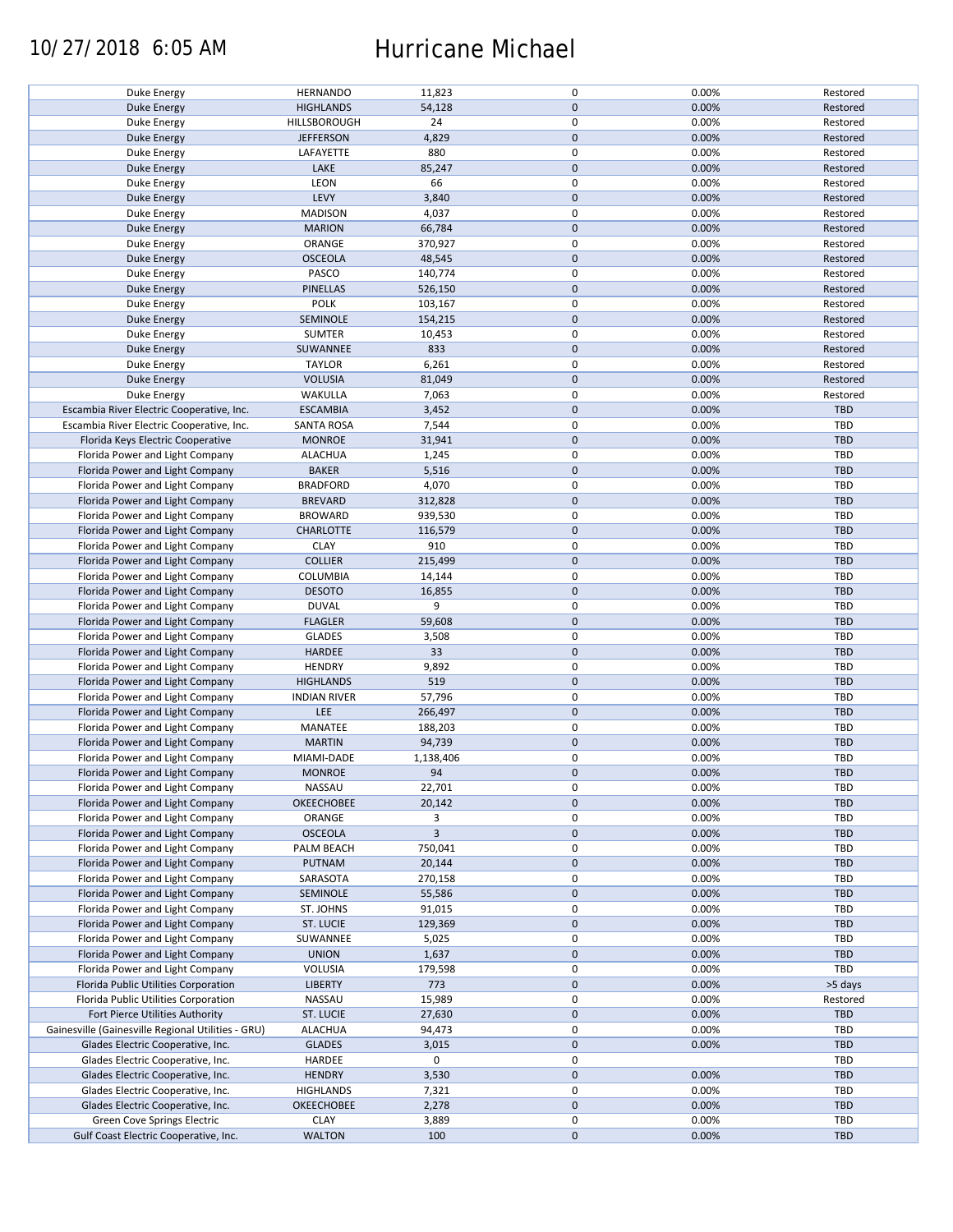## 10/27/2018 6:05 AM Hurricane Michael

| Duke Energy                                        | <b>HERNANDO</b>     | 11,823    | $\mathsf 0$  | 0.00% | Restored   |
|----------------------------------------------------|---------------------|-----------|--------------|-------|------------|
|                                                    | <b>HIGHLANDS</b>    |           | $\mathbf 0$  |       | Restored   |
| <b>Duke Energy</b>                                 |                     | 54,128    |              | 0.00% |            |
| Duke Energy                                        | HILLSBOROUGH        | 24        | $\mathbf 0$  | 0.00% | Restored   |
|                                                    |                     |           |              |       |            |
| <b>Duke Energy</b>                                 | <b>JEFFERSON</b>    | 4,829     | $\mathbf 0$  | 0.00% | Restored   |
| Duke Energy                                        | LAFAYETTE           | 880       | 0            | 0.00% | Restored   |
|                                                    |                     |           |              |       |            |
| Duke Energy                                        | LAKE                | 85,247    | $\mathbf 0$  | 0.00% | Restored   |
| Duke Energy                                        | LEON                | 66        | 0            | 0.00% | Restored   |
|                                                    | LEVY                |           | $\mathbf 0$  |       |            |
| <b>Duke Energy</b>                                 |                     | 3,840     |              | 0.00% | Restored   |
| <b>Duke Energy</b>                                 | <b>MADISON</b>      | 4,037     | 0            | 0.00% | Restored   |
|                                                    |                     |           |              |       |            |
| <b>Duke Energy</b>                                 | <b>MARION</b>       | 66,784    | $\mathbf 0$  | 0.00% | Restored   |
| Duke Energy                                        | ORANGE              | 370,927   | 0            | 0.00% | Restored   |
|                                                    |                     |           |              |       |            |
| <b>Duke Energy</b>                                 | <b>OSCEOLA</b>      | 48,545    | $\mathbf 0$  | 0.00% | Restored   |
| Duke Energy                                        | PASCO               | 140,774   | 0            | 0.00% | Restored   |
|                                                    |                     |           |              |       |            |
| <b>Duke Energy</b>                                 | PINELLAS            | 526,150   | $\mathbf 0$  | 0.00% | Restored   |
| Duke Energy                                        | <b>POLK</b>         | 103,167   | 0            | 0.00% | Restored   |
|                                                    |                     |           |              |       |            |
| <b>Duke Energy</b>                                 | SEMINOLE            | 154,215   | $\mathbf 0$  | 0.00% | Restored   |
| <b>Duke Energy</b>                                 | <b>SUMTER</b>       | 10,453    | 0            | 0.00% | Restored   |
|                                                    |                     |           |              |       |            |
| <b>Duke Energy</b>                                 | SUWANNEE            | 833       | $\mathbf 0$  | 0.00% | Restored   |
| Duke Energy                                        | <b>TAYLOR</b>       | 6,261     | $\mathbf 0$  | 0.00% | Restored   |
|                                                    |                     |           |              |       |            |
| <b>Duke Energy</b>                                 | <b>VOLUSIA</b>      | 81,049    | $\mathbf 0$  | 0.00% | Restored   |
| <b>Duke Energy</b>                                 | WAKULLA             | 7,063     | 0            | 0.00% | Restored   |
|                                                    |                     |           |              |       |            |
| Escambia River Electric Cooperative, Inc.          | <b>ESCAMBIA</b>     | 3,452     | $\mathbf 0$  | 0.00% | TBD        |
| Escambia River Electric Cooperative, Inc.          | <b>SANTA ROSA</b>   | 7,544     | 0            | 0.00% | TBD        |
|                                                    |                     |           |              |       |            |
| Florida Keys Electric Cooperative                  | <b>MONROE</b>       | 31,941    | $\mathbf 0$  | 0.00% | TBD        |
| Florida Power and Light Company                    | <b>ALACHUA</b>      | 1,245     | $\mathsf 0$  | 0.00% | TBD        |
|                                                    |                     |           |              |       |            |
| Florida Power and Light Company                    | <b>BAKER</b>        | 5,516     | $\mathbf 0$  | 0.00% | TBD        |
|                                                    |                     |           |              |       |            |
| Florida Power and Light Company                    | <b>BRADFORD</b>     | 4,070     | 0            | 0.00% | TBD        |
| Florida Power and Light Company                    | <b>BREVARD</b>      | 312,828   | $\mathbf 0$  | 0.00% | TBD        |
|                                                    |                     |           |              |       |            |
| Florida Power and Light Company                    | <b>BROWARD</b>      | 939,530   | $\pmb{0}$    | 0.00% | TBD        |
| Florida Power and Light Company                    | <b>CHARLOTTE</b>    | 116,579   | $\mathbf 0$  | 0.00% | TBD        |
|                                                    |                     |           |              |       |            |
| Florida Power and Light Company                    | <b>CLAY</b>         | 910       | 0            | 0.00% | TBD        |
| Florida Power and Light Company                    | <b>COLLIER</b>      | 215,499   | $\mathbf 0$  | 0.00% | <b>TBD</b> |
|                                                    |                     |           |              |       |            |
| Florida Power and Light Company                    | COLUMBIA            | 14,144    | 0            | 0.00% | TBD        |
| Florida Power and Light Company                    | <b>DESOTO</b>       | 16,855    | $\mathbf 0$  | 0.00% | TBD        |
|                                                    |                     |           |              |       |            |
| Florida Power and Light Company                    | <b>DUVAL</b>        | 9         | 0            | 0.00% | TBD        |
| Florida Power and Light Company                    | <b>FLAGLER</b>      | 59,608    | $\mathbf 0$  | 0.00% | <b>TBD</b> |
|                                                    |                     |           |              |       |            |
| Florida Power and Light Company                    | <b>GLADES</b>       | 3,508     | $\mathbf 0$  | 0.00% | TBD        |
| Florida Power and Light Company                    | <b>HARDEE</b>       | 33        | 0            | 0.00% | TBD        |
|                                                    |                     |           |              |       |            |
| Florida Power and Light Company                    | <b>HENDRY</b>       | 9,892     | 0            | 0.00% | TBD        |
| Florida Power and Light Company                    | <b>HIGHLANDS</b>    | 519       | $\mathbf 0$  | 0.00% | <b>TBD</b> |
|                                                    |                     |           |              |       |            |
| Florida Power and Light Company                    | <b>INDIAN RIVER</b> | 57,796    | $\mathsf 0$  | 0.00% | TBD        |
| Florida Power and Light Company                    | LEE                 | 266,497   | $\mathbf 0$  | 0.00% | TBD        |
|                                                    |                     |           |              |       |            |
| Florida Power and Light Company                    | MANATEE             | 188,203   | 0            | 0.00% | TBD        |
| Florida Power and Light Company                    | <b>MARTIN</b>       | 94,739    | $\mathbf 0$  | 0.00% | TBD        |
|                                                    |                     |           |              |       |            |
| Florida Power and Light Company                    | MIAMI-DADE          | 1,138,406 | 0            | 0.00% | TBD        |
|                                                    |                     |           |              |       |            |
| Florida Power and Light Company                    | <b>MONROE</b>       | 94        | $\mathbf{0}$ | 0.00% | TBD        |
| Florida Power and Light Company                    | NASSAU              | 22,701    | 0            | 0.00% | TBD        |
|                                                    |                     |           |              |       |            |
| Florida Power and Light Company                    | <b>OKEECHOBEE</b>   | 20,142    | 0            | 0.00% | TBD        |
| Florida Power and Light Company                    | ORANGE              | 3         | 0            | 0.00% | TBD        |
|                                                    |                     |           |              |       |            |
| Florida Power and Light Company                    | <b>OSCEOLA</b>      | 3         | 0            | 0.00% | TBD        |
| Florida Power and Light Company                    | PALM BEACH          | 750,041   | 0            | 0.00% | TBD        |
|                                                    |                     |           |              |       |            |
| Florida Power and Light Company                    | PUTNAM              | 20,144    | $\mathbf 0$  | 0.00% | TBD        |
| Florida Power and Light Company                    | SARASOTA            | 270,158   | $\mathbf 0$  | 0.00% | TBD        |
|                                                    |                     |           |              |       |            |
| Florida Power and Light Company                    | SEMINOLE            | 55,586    | 0            | 0.00% | TBD        |
| Florida Power and Light Company                    | ST. JOHNS           | 91,015    | 0            | 0.00% | TBD        |
|                                                    |                     |           |              |       |            |
| Florida Power and Light Company                    | ST. LUCIE           | 129,369   | $\mathbf 0$  | 0.00% | TBD        |
| Florida Power and Light Company                    | SUWANNEE            | 5,025     | 0            | 0.00% | TBD        |
|                                                    |                     |           |              |       |            |
| Florida Power and Light Company                    | <b>UNION</b>        | 1,637     | $\mathbf 0$  | 0.00% | TBD        |
| Florida Power and Light Company                    | VOLUSIA             | 179,598   | 0            | 0.00% | TBD        |
|                                                    |                     |           |              |       |            |
| Florida Public Utilities Corporation               | <b>LIBERTY</b>      | 773       | $\mathbf 0$  | 0.00% | >5 days    |
| Florida Public Utilities Corporation               | NASSAU              | 15,989    | 0            | 0.00% | Restored   |
|                                                    |                     |           |              |       |            |
| Fort Pierce Utilities Authority                    | ST. LUCIE           | 27,630    | $\mathbf 0$  | 0.00% | TBD        |
| Gainesville (Gainesville Regional Utilities - GRU) | <b>ALACHUA</b>      |           | 0            | 0.00% | TBD        |
|                                                    |                     | 94,473    |              |       |            |
| Glades Electric Cooperative, Inc.                  | <b>GLADES</b>       | 3,015     | $\mathbf 0$  | 0.00% | TBD        |
|                                                    |                     |           |              |       |            |
| Glades Electric Cooperative, Inc.                  | HARDEE              | 0         | 0            |       | TBD        |
| Glades Electric Cooperative, Inc.                  |                     | 3,530     | $\mathbf 0$  | 0.00% | TBD        |
|                                                    | <b>HENDRY</b>       |           |              |       |            |
|                                                    |                     |           |              |       |            |
| Glades Electric Cooperative, Inc.                  | <b>HIGHLANDS</b>    | 7,321     | 0            | 0.00% | TBD        |
|                                                    |                     |           | $\mathbf 0$  |       |            |
| Glades Electric Cooperative, Inc.                  | <b>OKEECHOBEE</b>   | 2,278     |              | 0.00% | TBD        |
| Green Cove Springs Electric                        | <b>CLAY</b>         | 3,889     | 0            | 0.00% | TBD        |
| Gulf Coast Electric Cooperative, Inc.              | <b>WALTON</b>       | 100       | $\mathbf 0$  | 0.00% | TBD        |